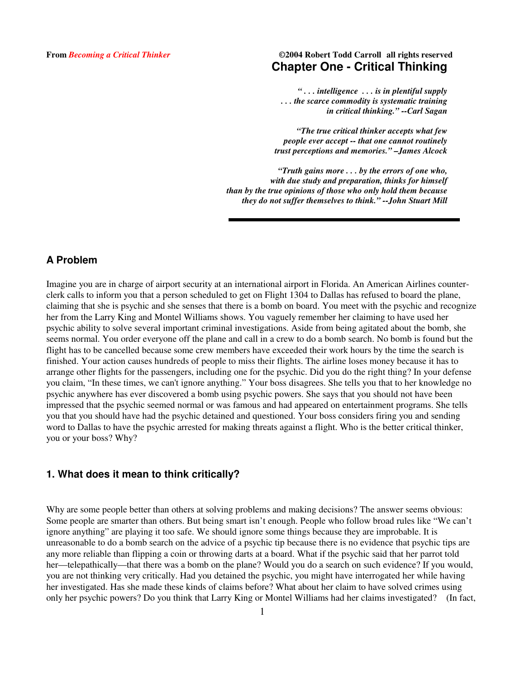# **From** *Becoming a Critical Thinker* **©2004 Robert Todd Carroll all rights reserved Chapter One - Critical Thinking**

*" . . . intelligence . . . is in plentiful supply . . . the scarce commodity is systematic training in critical thinking." --Carl Sagan*

*"The true critical thinker accepts what few people ever accept -- that one cannot routinely trust perceptions and memories." –James Alcock*

*"Truth gains more . . . by the errors of one who, with due study and preparation, thinks for himself than by the true opinions of those who only hold them because they do not suffer themselves to think." --John Stuart Mill*

# **A Problem**

Imagine you are in charge of airport security at an international airport in Florida. An American Airlines counterclerk calls to inform you that a person scheduled to get on Flight 1304 to Dallas has refused to board the plane, claiming that she is psychic and she senses that there is a bomb on board. You meet with the psychic and recognize her from the Larry King and Montel Williams shows. You vaguely remember her claiming to have used her psychic ability to solve several important criminal investigations. Aside from being agitated about the bomb, she seems normal. You order everyone off the plane and call in a crew to do a bomb search. No bomb is found but the flight has to be cancelled because some crew members have exceeded their work hours by the time the search is finished. Your action causes hundreds of people to miss their flights. The airline loses money because it has to arrange other flights for the passengers, including one for the psychic. Did you do the right thing? In your defense you claim, "In these times, we can't ignore anything." Your boss disagrees. She tells you that to her knowledge no psychic anywhere has ever discovered a bomb using psychic powers. She says that you should not have been impressed that the psychic seemed normal or was famous and had appeared on entertainment programs. She tells you that you should have had the psychic detained and questioned. Your boss considers firing you and sending word to Dallas to have the psychic arrested for making threats against a flight. Who is the better critical thinker, you or your boss? Why?

# **1. What does it mean to think critically?**

Why are some people better than others at solving problems and making decisions? The answer seems obvious: Some people are smarter than others. But being smart isn't enough. People who follow broad rules like "We can't ignore anything" are playing it too safe. We should ignore some things because they are improbable. It is unreasonable to do a bomb search on the advice of a psychic tip because there is no evidence that psychic tips are any more reliable than flipping a coin or throwing darts at a board. What if the psychic said that her parrot told her—telepathically—that there was a bomb on the plane? Would you do a search on such evidence? If you would, you are not thinking very critically. Had you detained the psychic, you might have interrogated her while having her investigated. Has she made these kinds of claims before? What about her claim to have solved crimes using only her psychic powers? Do you think that Larry King or Montel Williams had her claims investigated? (In fact,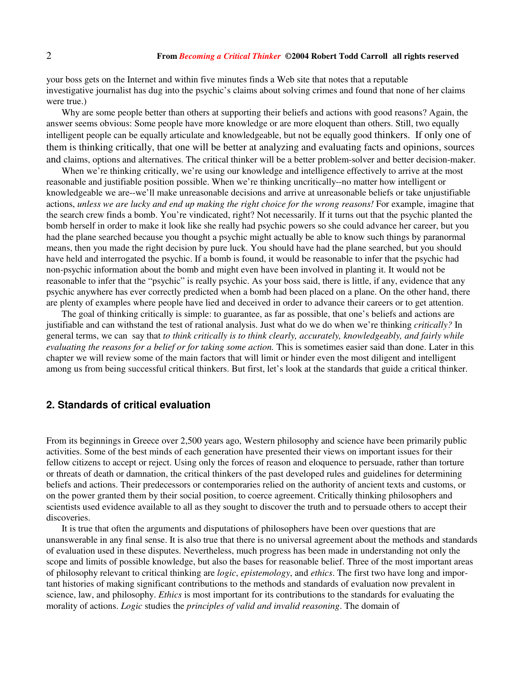your boss gets on the Internet and within five minutes finds a Web site that notes that a reputable investigative journalist has dug into the psychic's claims about solving crimes and found that none of her claims were true.)

Why are some people better than others at supporting their beliefs and actions with good reasons? Again, the answer seems obvious: Some people have more knowledge or are more eloquent than others. Still, two equally intelligent people can be equally articulate and knowledgeable, but not be equally good thinkers. If only one of them is thinking critically, that one will be better at analyzing and evaluating facts and opinions, sources and claims, options and alternatives. The critical thinker will be a better problem-solver and better decision-maker.

When we're thinking critically, we're using our knowledge and intelligence effectively to arrive at the most reasonable and justifiable position possible. When we're thinking uncritically--no matter how intelligent or knowledgeable we are--we'll make unreasonable decisions and arrive at unreasonable beliefs or take unjustifiable actions, *unless we are lucky and end up making the right choice for the wrong reasons!* For example, imagine that the search crew finds a bomb. You're vindicated, right? Not necessarily. If it turns out that the psychic planted the bomb herself in order to make it look like she really had psychic powers so she could advance her career, but you had the plane searched because you thought a psychic might actually be able to know such things by paranormal means, then you made the right decision by pure luck. You should have had the plane searched, but you should have held and interrogated the psychic. If a bomb is found, it would be reasonable to infer that the psychic had non-psychic information about the bomb and might even have been involved in planting it. It would not be reasonable to infer that the "psychic" is really psychic. As your boss said, there is little, if any, evidence that any psychic anywhere has ever correctly predicted when a bomb had been placed on a plane. On the other hand, there are plenty of examples where people have lied and deceived in order to advance their careers or to get attention.

The goal of thinking critically is simple: to guarantee, as far as possible, that one's beliefs and actions are justifiable and can withstand the test of rational analysis. Just what do we do when we're thinking *critically?* In general terms, we can say that *to think critically is to think clearly, accurately, knowledgeably, and fairly while evaluating the reasons for a belief or for taking some action.* This is sometimes easier said than done. Later in this chapter we will review some of the main factors that will limit or hinder even the most diligent and intelligent among us from being successful critical thinkers. But first, let's look at the standards that guide a critical thinker.

# **2. Standards of critical evaluation**

From its beginnings in Greece over 2,500 years ago, Western philosophy and science have been primarily public activities. Some of the best minds of each generation have presented their views on important issues for their fellow citizens to accept or reject. Using only the forces of reason and eloquence to persuade, rather than torture or threats of death or damnation, the critical thinkers of the past developed rules and guidelines for determining beliefs and actions. Their predecessors or contemporaries relied on the authority of ancient texts and customs, or on the power granted them by their social position, to coerce agreement. Critically thinking philosophers and scientists used evidence available to all as they sought to discover the truth and to persuade others to accept their discoveries.

It is true that often the arguments and disputations of philosophers have been over questions that are unanswerable in any final sense. It is also true that there is no universal agreement about the methods and standards of evaluation used in these disputes. Nevertheless, much progress has been made in understanding not only the scope and limits of possible knowledge, but also the bases for reasonable belief. Three of the most important areas of philosophy relevant to critical thinking are *logic*, *epistemology*, and *ethics*. The first two have long and important histories of making significant contributions to the methods and standards of evaluation now prevalent in science, law, and philosophy. *Ethics* is most important for its contributions to the standards for evaluating the morality of actions. *Logic* studies the *principles of valid and invalid reasoning*. The domain of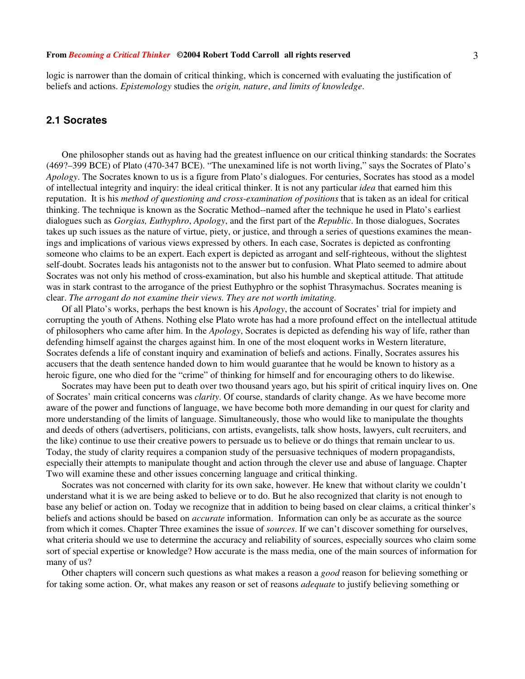logic is narrower than the domain of critical thinking, which is concerned with evaluating the justification of beliefs and actions. *Epistemology* studies the *origin, nature*, *and limits of knowledge*.

# **2.1 Socrates**

One philosopher stands out as having had the greatest influence on our critical thinking standards: the Socrates (469?–399 BCE) of Plato (470-347 BCE). "The unexamined life is not worth living," says the Socrates of Plato's *Apology*. The Socrates known to us is a figure from Plato's dialogues. For centuries, Socrates has stood as a model of intellectual integrity and inquiry: the ideal critical thinker. It is not any particular *idea* that earned him this reputation. It is his *method of questioning and cross-examination of positions* that is taken as an ideal for critical thinking. The technique is known as the Socratic Method--named after the technique he used in Plato's earliest dialogues such as *Gorgias, Euthyphro*, *Apology*, and the first part of the *Republic*. In those dialogues, Socrates takes up such issues as the nature of virtue, piety, or justice, and through a series of questions examines the meanings and implications of various views expressed by others. In each case, Socrates is depicted as confronting someone who claims to be an expert. Each expert is depicted as arrogant and self-righteous, without the slightest self-doubt. Socrates leads his antagonists not to the answer but to confusion. What Plato seemed to admire about Socrates was not only his method of cross-examination, but also his humble and skeptical attitude. That attitude was in stark contrast to the arrogance of the priest Euthyphro or the sophist Thrasymachus. Socrates meaning is clear. *The arrogant do not examine their views. They are not worth imitating.*

Of all Plato's works, perhaps the best known is his *Apology*, the account of Socrates' trial for impiety and corrupting the youth of Athens. Nothing else Plato wrote has had a more profound effect on the intellectual attitude of philosophers who came after him. In the *Apology*, Socrates is depicted as defending his way of life, rather than defending himself against the charges against him. In one of the most eloquent works in Western literature, Socrates defends a life of constant inquiry and examination of beliefs and actions. Finally, Socrates assures his accusers that the death sentence handed down to him would guarantee that he would be known to history as a heroic figure, one who died for the "crime" of thinking for himself and for encouraging others to do likewise.

Socrates may have been put to death over two thousand years ago, but his spirit of critical inquiry lives on. One of Socrates' main critical concerns was *clarity*. Of course, standards of clarity change. As we have become more aware of the power and functions of language, we have become both more demanding in our quest for clarity and more understanding of the limits of language. Simultaneously, those who would like to manipulate the thoughts and deeds of others (advertisers, politicians, con artists, evangelists, talk show hosts, lawyers, cult recruiters, and the like) continue to use their creative powers to persuade us to believe or do things that remain unclear to us. Today, the study of clarity requires a companion study of the persuasive techniques of modern propagandists, especially their attempts to manipulate thought and action through the clever use and abuse of language. Chapter Two will examine these and other issues concerning language and critical thinking.

Socrates was not concerned with clarity for its own sake, however. He knew that without clarity we couldn't understand what it is we are being asked to believe or to do. But he also recognized that clarity is not enough to base any belief or action on. Today we recognize that in addition to being based on clear claims, a critical thinker's beliefs and actions should be based on *accurate* information. Information can only be as accurate as the source from which it comes. Chapter Three examines the issue of *sources*. If we can't discover something for ourselves, what criteria should we use to determine the accuracy and reliability of sources, especially sources who claim some sort of special expertise or knowledge? How accurate is the mass media, one of the main sources of information for many of us?

Other chapters will concern such questions as what makes a reason a *good* reason for believing something or for taking some action. Or, what makes any reason or set of reasons *adequate* to justify believing something or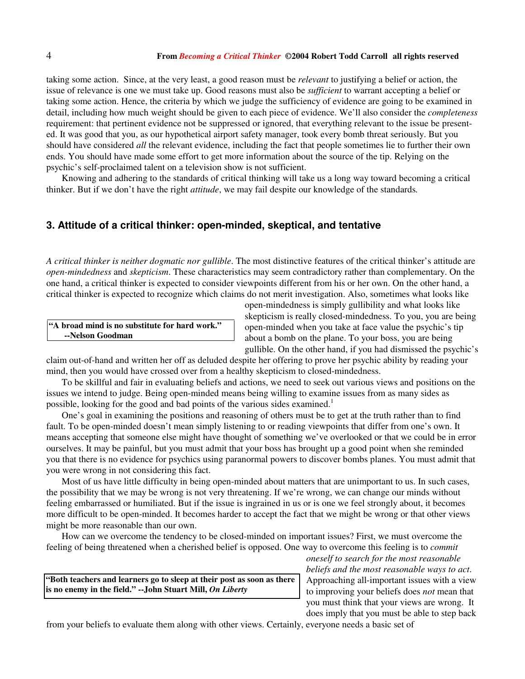taking some action. Since, at the very least, a good reason must be *relevant* to justifying a belief or action, the issue of relevance is one we must take up. Good reasons must also be *sufficient* to warrant accepting a belief or taking some action. Hence, the criteria by which we judge the sufficiency of evidence are going to be examined in detail, including how much weight should be given to each piece of evidence. We'll also consider the *completeness* requirement: that pertinent evidence not be suppressed or ignored, that everything relevant to the issue be presented. It was good that you, as our hypothetical airport safety manager, took every bomb threat seriously. But you should have considered *all* the relevant evidence, including the fact that people sometimes lie to further their own ends. You should have made some effort to get more information about the source of the tip. Relying on the psychic's self-proclaimed talent on a television show is not sufficient.

Knowing and adhering to the standards of critical thinking will take us a long way toward becoming a critical thinker. But if we don't have the right *attitude*, we may fail despite our knowledge of the standards*.*

# **3. Attitude of a critical thinker: open-minded, skeptical, and tentative**

*A critical thinker is neither dogmatic nor gullible*. The most distinctive features of the critical thinker's attitude are *open-mindedness* and *skepticism*. These characteristics may seem contradictory rather than complementary. On the one hand, a critical thinker is expected to consider viewpoints different from his or her own. On the other hand, a critical thinker is expected to recognize which claims do not merit investigation. Also, sometimes what looks like

**"A broad mind is no substitute for hard work." --Nelson Goodman**

open-mindedness is simply gullibility and what looks like skepticism is really closed-mindedness. To you, you are being open-minded when you take at face value the psychic's tip about a bomb on the plane. To your boss, you are being gullible. On the other hand, if you had dismissed the psychic's

claim out-of-hand and written her off as deluded despite her offering to prove her psychic ability by reading your mind, then you would have crossed over from a healthy skepticism to closed-mindedness.

To be skillful and fair in evaluating beliefs and actions, we need to seek out various views and positions on the issues we intend to judge. Being open-minded means being willing to examine issues from as many sides as possible, looking for the good and bad points of the various sides examined.<sup>1</sup>

One's goal in examining the positions and reasoning of others must be to get at the truth rather than to find fault. To be open-minded doesn't mean simply listening to or reading viewpoints that differ from one's own. It means accepting that someone else might have thought of something we've overlooked or that we could be in error ourselves. It may be painful, but you must admit that your boss has brought up a good point when she reminded you that there is no evidence for psychics using paranormal powers to discover bombs planes. You must admit that you were wrong in not considering this fact.

Most of us have little difficulty in being open-minded about matters that are unimportant to us. In such cases, the possibility that we may be wrong is not very threatening. If we're wrong, we can change our minds without feeling embarrassed or humiliated. But if the issue is ingrained in us or is one we feel strongly about, it becomes more difficult to be open-minded. It becomes harder to accept the fact that we might be wrong or that other views might be more reasonable than our own.

How can we overcome the tendency to be closed-minded on important issues? First, we must overcome the feeling of being threatened when a cherished belief is opposed. One way to overcome this feeling is to *commit*

**"Both teachers and learners go to sleep at their post as soon as there is no enemy in the field." --John Stuart Mill,** *On Liberty*

*oneself to search for the most reasonable beliefs and the most reasonable ways to act*. Approaching all-important issues with a view to improving your beliefs does *not* mean that you must think that your views are wrong. It does imply that you must be able to step back

from your beliefs to evaluate them along with other views. Certainly, everyone needs a basic set of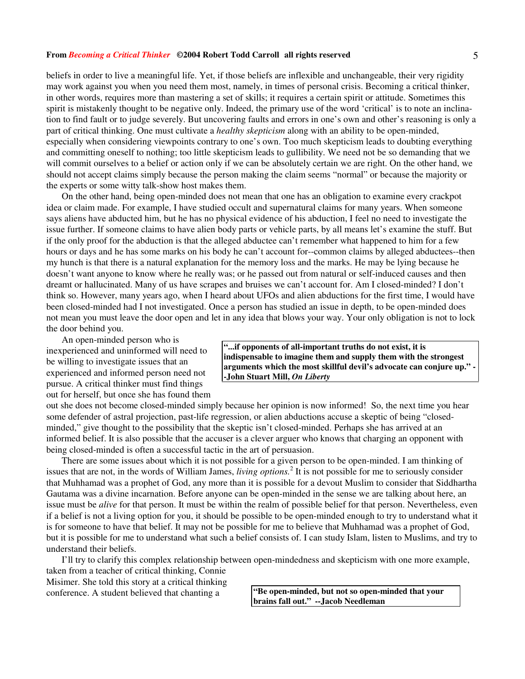beliefs in order to live a meaningful life. Yet, if those beliefs are inflexible and unchangeable, their very rigidity may work against you when you need them most, namely, in times of personal crisis. Becoming a critical thinker, in other words, requires more than mastering a set of skills; it requires a certain spirit or attitude. Sometimes this spirit is mistakenly thought to be negative only. Indeed, the primary use of the word 'critical' is to note an inclination to find fault or to judge severely. But uncovering faults and errors in one's own and other's reasoning is only a part of critical thinking. One must cultivate a *healthy skepticism* along with an ability to be open-minded, especially when considering viewpoints contrary to one's own. Too much skepticism leads to doubting everything and committing oneself to nothing; too little skepticism leads to gullibility. We need not be so demanding that we will commit ourselves to a belief or action only if we can be absolutely certain we are right. On the other hand, we should not accept claims simply because the person making the claim seems "normal" or because the majority or the experts or some witty talk-show host makes them.

On the other hand, being open-minded does not mean that one has an obligation to examine every crackpot idea or claim made. For example, I have studied occult and supernatural claims for many years. When someone says aliens have abducted him, but he has no physical evidence of his abduction, I feel no need to investigate the issue further. If someone claims to have alien body parts or vehicle parts, by all means let's examine the stuff. But if the only proof for the abduction is that the alleged abductee can't remember what happened to him for a few hours or days and he has some marks on his body he can't account for--common claims by alleged abductees--then my hunch is that there is a natural explanation for the memory loss and the marks. He may be lying because he doesn't want anyone to know where he really was; or he passed out from natural or self-induced causes and then dreamt or hallucinated. Many of us have scrapes and bruises we can't account for. Am I closed-minded? I don't think so. However, many years ago, when I heard about UFOs and alien abductions for the first time, I would have been closed-minded had I not investigated. Once a person has studied an issue in depth, to be open-minded does not mean you must leave the door open and let in any idea that blows your way. Your only obligation is not to lock the door behind you.

An open-minded person who is inexperienced and uninformed will need to be willing to investigate issues that an experienced and informed person need not pursue. A critical thinker must find things out for herself, but once she has found them

**"...if opponents of all-important truths do not exist, it is indispensable to imagine them and supply them with the strongest arguments which the most skillful devil's advocate can conjure up." - -John Stuart Mill,** *On Liberty*

out she does not become closed-minded simply because her opinion is now informed! So, the next time you hear some defender of astral projection, past-life regression, or alien abductions accuse a skeptic of being "closedminded," give thought to the possibility that the skeptic isn't closed-minded. Perhaps she has arrived at an informed belief. It is also possible that the accuser is a clever arguer who knows that charging an opponent with being closed-minded is often a successful tactic in the art of persuasion.

There are some issues about which it is not possible for a given person to be open-minded. I am thinking of issues that are not, in the words of William James, *living options.* 2 It is not possible for me to seriously consider that Muhhamad was a prophet of God, any more than it is possible for a devout Muslim to consider that Siddhartha Gautama was a divine incarnation. Before anyone can be open-minded in the sense we are talking about here, an issue must be *alive* for that person. It must be within the realm of possible belief for that person. Nevertheless, even if a belief is not a living option for you, it should be possible to be open-minded enough to try to understand what it is for someone to have that belief. It may not be possible for me to believe that Muhhamad was a prophet of God, but it is possible for me to understand what such a belief consists of. I can study Islam, listen to Muslims, and try to understand their beliefs.

I'll try to clarify this complex relationship between open-mindedness and skepticism with one more example, taken from a teacher of critical thinking, Connie

Misimer. She told this story at a critical thinking conference. A student believed that chanting a

**"Be open-minded, but not so open-minded that your brains fall out." --Jacob Needleman**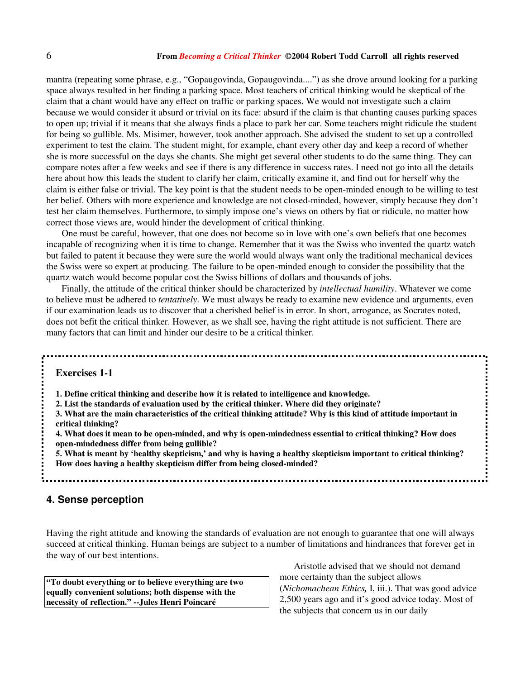mantra (repeating some phrase, e.g., "Gopaugovinda, Gopaugovinda....") as she drove around looking for a parking space always resulted in her finding a parking space. Most teachers of critical thinking would be skeptical of the claim that a chant would have any effect on traffic or parking spaces. We would not investigate such a claim because we would consider it absurd or trivial on its face: absurd if the claim is that chanting causes parking spaces to open up; trivial if it means that she always finds a place to park her car. Some teachers might ridicule the student for being so gullible. Ms. Misimer, however, took another approach. She advised the student to set up a controlled experiment to test the claim. The student might, for example, chant every other day and keep a record of whether she is more successful on the days she chants. She might get several other students to do the same thing. They can compare notes after a few weeks and see if there is any difference in success rates. I need not go into all the details here about how this leads the student to clarify her claim, critically examine it, and find out for herself why the claim is either false or trivial. The key point is that the student needs to be open-minded enough to be willing to test her belief. Others with more experience and knowledge are not closed-minded, however, simply because they don't test her claim themselves. Furthermore, to simply impose one's views on others by fiat or ridicule, no matter how correct those views are, would hinder the development of critical thinking.

One must be careful, however, that one does not become so in love with one's own beliefs that one becomes incapable of recognizing when it is time to change. Remember that it was the Swiss who invented the quartz watch but failed to patent it because they were sure the world would always want only the traditional mechanical devices the Swiss were so expert at producing. The failure to be open-minded enough to consider the possibility that the quartz watch would become popular cost the Swiss billions of dollars and thousands of jobs.

Finally, the attitude of the critical thinker should be characterized by *intellectual humility*. Whatever we come to believe must be adhered to *tentatively*. We must always be ready to examine new evidence and arguments, even if our examination leads us to discover that a cherished belief is in error. In short, arrogance, as Socrates noted, does not befit the critical thinker. However, as we shall see, having the right attitude is not sufficient. There are many factors that can limit and hinder our desire to be a critical thinker.

# ,,,,,,,,,,,,,,,,,,,,,,,,,,,,, **Exercises 1-1 1. Define critical thinking and describe how it is related to intelligence and knowledge. 2. List the standards of evaluation used by the critical thinker. Where did they originate?** 3. What are the main characteristics of the critical thinking attitude? Why is this kind of attitude important in **critical thinking?** 4. What does it mean to be open-minded, and why is open-mindedness essential to critical thinking? How does **open-mindedness differ from being gullible?** 5. What is meant by 'healthy skepticism,' and why is having a healthy skepticism important to critical thinking? **How does having a healthy skepticism differ from being closed-minded?**

### **4. Sense perception**

Having the right attitude and knowing the standards of evaluation are not enough to guarantee that one will always succeed at critical thinking. Human beings are subject to a number of limitations and hindrances that forever get in the way of our best intentions.

**"To doubt everything or to believe everything are two equally convenient solutions; both dispense with the necessity of reflection." --Jules Henri Poincaré**

Aristotle advised that we should not demand more certainty than the subject allows (*Nichomachean Ethics,* I, iii.). That was good advice 2,500 years ago and it's good advice today. Most of the subjects that concern us in our daily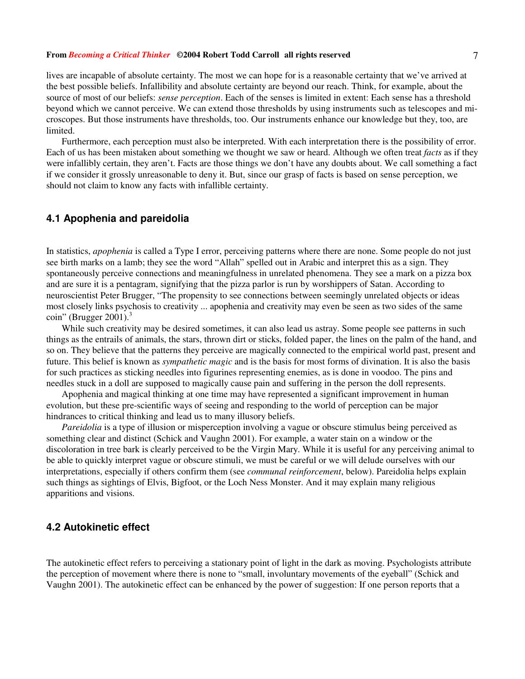lives are incapable of absolute certainty. The most we can hope for is a reasonable certainty that we've arrived at the best possible beliefs. Infallibility and absolute certainty are beyond our reach. Think, for example, about the source of most of our beliefs: *sense perception*. Each of the senses is limited in extent: Each sense has a threshold beyond which we cannot perceive. We can extend those thresholds by using instruments such as telescopes and microscopes. But those instruments have thresholds, too. Our instruments enhance our knowledge but they, too, are limited.

Furthermore, each perception must also be interpreted. With each interpretation there is the possibility of error. Each of us has been mistaken about something we thought we saw or heard. Although we often treat *facts* as if they were infallibly certain, they aren't. Facts are those things we don't have any doubts about. We call something a fact if we consider it grossly unreasonable to deny it. But, since our grasp of facts is based on sense perception, we should not claim to know any facts with infallible certainty.

# **4.1 Apophenia and pareidolia**

In statistics, *apophenia* is called a Type I error, perceiving patterns where there are none. Some people do not just see birth marks on a lamb; they see the word "Allah" spelled out in Arabic and interpret this as a sign. They spontaneously perceive connections and meaningfulness in unrelated phenomena. They see a mark on a pizza box and are sure it is a pentagram, signifying that the pizza parlor is run by worshippers of Satan. According to neuroscientist Peter Brugger, "The propensity to see connections between seemingly unrelated objects or ideas most closely links psychosis to creativity ... apophenia and creativity may even be seen as two sides of the same coin" (Brugger 2001). 3

While such creativity may be desired sometimes, it can also lead us astray. Some people see patterns in such things as the entrails of animals, the stars, thrown dirt or sticks, folded paper, the lines on the palm of the hand, and so on. They believe that the patterns they perceive are magically connected to the empirical world past, present and future. This belief is known as *sympathetic magic* and is the basis for most forms of divination. It is also the basis for such practices as sticking needles into figurines representing enemies, as is done in voodoo. The pins and needles stuck in a doll are supposed to magically cause pain and suffering in the person the doll represents.

Apophenia and magical thinking at one time may have represented a significant improvement in human evolution, but these pre-scientific ways of seeing and responding to the world of perception can be major hindrances to critical thinking and lead us to many illusory beliefs.

*Pareidolia* is a type of illusion or misperception involving a vague or obscure stimulus being perceived as something clear and distinct (Schick and Vaughn 2001). For example, a water stain on a window or the discoloration in tree bark is clearly perceived to be the Virgin Mary. While it is useful for any perceiving animal to be able to quickly interpret vague or obscure stimuli, we must be careful or we will delude ourselves with our interpretations, especially if others confirm them (see *communal reinforcement*, below). Pareidolia helps explain such things as sightings of Elvis, Bigfoot, or the Loch Ness Monster. And it may explain many religious apparitions and visions.

# **4.2 Autokinetic effect**

The autokinetic effect refers to perceiving a stationary point of light in the dark as moving. Psychologists attribute the perception of movement where there is none to "small, involuntary movements of the eyeball" (Schick and Vaughn 2001). The autokinetic effect can be enhanced by the power of suggestion: If one person reports that a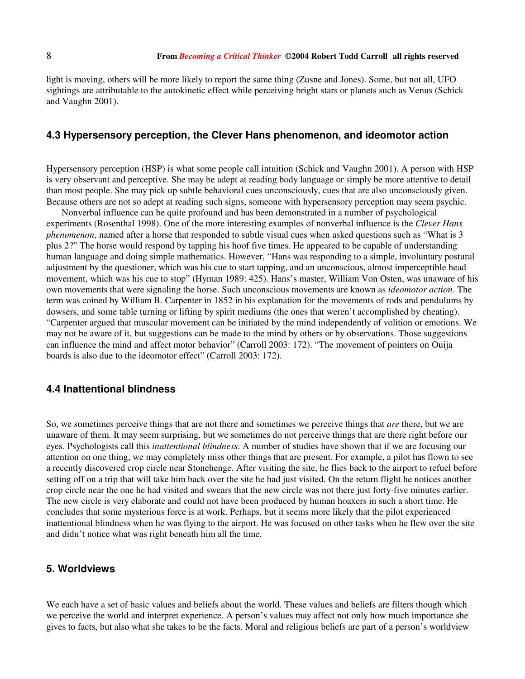light is moving, others will be more likely to report the same thing (Zusne and Jones). Some, but not all, UFO sightings are attributable to the autokinetic effect while perceiving bright stars or planets such as Venus (Schick and Vaughn 2001).

# **4.3 Hypersensory perception, the Clever Hans phenomenon, and ideomotor action**

Hypersensory perception (HSP) is what some people call intuition (Schick and Vaughn 2001). A person with HSP is very observant and perceptive. She may be adept at reading body language or simply be more attentive to detail than most people. She may pick up subtle behavioral cues unconsciously, cues that are also unconsciously given. Because others are not so adept at reading such signs, someone with hypersensory perception may seem psychic.

Nonverbal influence can be quite profound and has been demonstrated in a number of psychological experiments (Rosenthal 1998). One of the more interesting examples of nonverbal influence is the *Clever Hans phenomenon*, named after a horse that responded to subtle visual cues when asked questions such as "What is 3 plus 2?" The horse would respond by tapping his hoof five times. He appeared to be capable of understanding human language and doing simple mathematics. However, "Hans was responding to a simple, involuntary postural adjustment by the questioner, which was his cue to start tapping, and an unconscious, almost imperceptible head movement, which was his cue to stop" (Hyman 1989: 425). Hans's master, William Von Osten, was unaware of his own movements that were signaling the horse. Such unconscious movements are known as *ideomotor action*. The term was coined by William B. Carpenter in 1852 in his explanation for the movements of rods and pendulums by dowsers, and some table turning or lifting by spirit mediums (the ones that weren't accomplished by cheating). "Carpenter argued that muscular movement can be initiated by the mind independently of volition or emotions. We may not be aware of it, but suggestions can be made to the mind by others or by observations. Those suggestions can influence the mind and affect motor behavior" (Carroll 2003: 172). "The movement of pointers on Ouija boards is also due to the ideomotor effect" (Carroll 2003: 172).

# **4.4 Inattentional blindness**

So, we sometimes perceive things that are not there and sometimes we perceive things that *are* there, but we are unaware of them. It may seem surprising, but we sometimes do not perceive things that are there right before our eyes. Psychologists call this *inattentional blindness*. A number of studies have shown that if we are focusing our attention on one thing, we may completely miss other things that are present. For example, a pilot has flown to see a recently discovered crop circle near Stonehenge. After visiting the site, he flies back to the airport to refuel before setting off on a trip that will take him back over the site he had just visited. On the return flight he notices another crop circle near the one he had visited and swears that the new circle was not there just forty-five minutes earlier. The new circle is very elaborate and could not have been produced by human hoaxers in such a short time. He concludes that some mysterious force is at work. Perhaps, but it seems more likely that the pilot experienced inattentional blindness when he was flying to the airport. He was focused on other tasks when he flew over the site and didn't notice what was right beneath him all the time.

# **5. Worldviews**

We each have a set of basic values and beliefs about the world. These values and beliefs are filters though which we perceive the world and interpret experience. A person's values may affect not only how much importance she gives to facts, but also what she takes to be the facts. Moral and religious beliefs are part of a person's worldview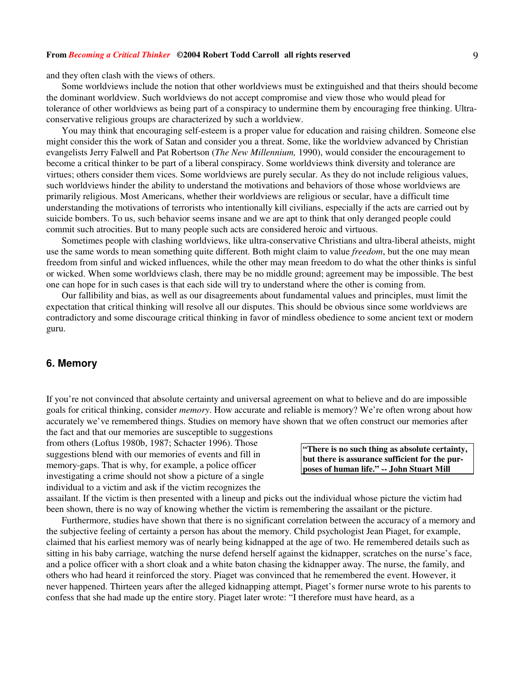and they often clash with the views of others.

Some worldviews include the notion that other worldviews must be extinguished and that theirs should become the dominant worldview. Such worldviews do not accept compromise and view those who would plead for tolerance of other worldviews as being part of a conspiracy to undermine them by encouraging free thinking. Ultraconservative religious groups are characterized by such a worldview.

You may think that encouraging self-esteem is a proper value for education and raising children. Someone else might consider this the work of Satan and consider you a threat. Some, like the worldview advanced by Christian evangelists Jerry Falwell and Pat Robertson (*The New Millennium,* 1990), would consider the encouragement to become a critical thinker to be part of a liberal conspiracy. Some worldviews think diversity and tolerance are virtues; others consider them vices. Some worldviews are purely secular. As they do not include religious values, such worldviews hinder the ability to understand the motivations and behaviors of those whose worldviews are primarily religious. Most Americans, whether their worldviews are religious or secular, have a difficult time understanding the motivations of terrorists who intentionally kill civilians, especially if the acts are carried out by suicide bombers. To us, such behavior seems insane and we are apt to think that only deranged people could commit such atrocities. But to many people such acts are considered heroic and virtuous.

Sometimes people with clashing worldviews, like ultra-conservative Christians and ultra-liberal atheists, might use the same words to mean something quite different. Both might claim to value *freedom*, but the one may mean freedom from sinful and wicked influences, while the other may mean freedom to do what the other thinks is sinful or wicked. When some worldviews clash, there may be no middle ground; agreement may be impossible. The best one can hope for in such cases is that each side will try to understand where the other is coming from.

Our fallibility and bias, as well as our disagreements about fundamental values and principles, must limit the expectation that critical thinking will resolve all our disputes. This should be obvious since some worldviews are contradictory and some discourage critical thinking in favor of mindless obedience to some ancient text or modern guru.

# **6. Memory**

If you're not convinced that absolute certainty and universal agreement on what to believe and do are impossible goals for critical thinking, consider *memory*. How accurate and reliable is memory? We're often wrong about how accurately we've remembered things. Studies on memory have shown that we often construct our memories after

the fact and that our memories are susceptible to suggestions from others (Loftus 1980b, 1987; Schacter 1996). Those suggestions blend with our memories of events and fill in memory-gaps. That is why, for example, a police officer investigating a crime should not show a picture of a single individual to a victim and ask if the victim recognizes the

**"There is no such thing as absolute certainty, but there is assurance sufficient for the purposes of human life." -- John Stuart Mill**

assailant. If the victim is then presented with a lineup and picks out the individual whose picture the victim had been shown, there is no way of knowing whether the victim is remembering the assailant or the picture.

Furthermore, studies have shown that there is no significant correlation between the accuracy of a memory and the subjective feeling of certainty a person has about the memory. Child psychologist Jean Piaget, for example, claimed that his earliest memory was of nearly being kidnapped at the age of two. He remembered details such as sitting in his baby carriage, watching the nurse defend herself against the kidnapper, scratches on the nurse's face, and a police officer with a short cloak and a white baton chasing the kidnapper away. The nurse, the family, and others who had heard it reinforced the story. Piaget was convinced that he remembered the event. However, it never happened. Thirteen years after the alleged kidnapping attempt, Piaget's former nurse wrote to his parents to confess that she had made up the entire story. Piaget later wrote: "I therefore must have heard, as a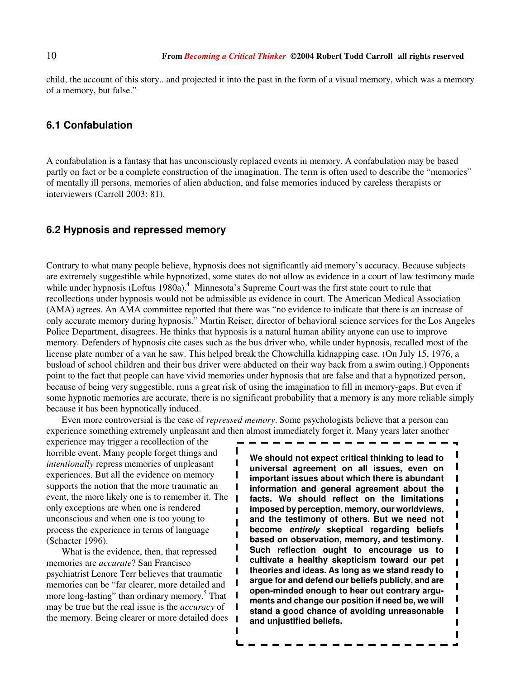child, the account of this story...and projected it into the past in the form of a visual memory, which was a memory of a memory, but false."

# **6.1 Confabulation**

A confabulation is a fantasy that has unconsciously replaced events in memory. A confabulation may be based partly on fact or be a complete construction of the imagination. The term is often used to describe the "memories" of mentally ill persons, memories of alien abduction, and false memories induced by careless therapists or interviewers (Carroll 2003: 81).

# **6.2 Hypnosis and repressed memory**

Contrary to what many people believe, hypnosis does not significantly aid memory's accuracy. Because subjects are extremely suggestible while hypnotized, some states do not allow as evidence in a court of law testimony made while under hypnosis (Loftus 1980a).<sup>4</sup> Minnesota's Supreme Court was the first state court to rule that recollections under hypnosis would not be admissible as evidence in court. The American Medical Association (AMA) agrees. An AMA committee reported that there was "no evidence to indicate that there is an increase of only accurate memory during hypnosis." Martin Reiser, director of behavioral science services for the Los Angeles Police Department, disagrees. He thinks that hypnosis is a natural human ability anyone can use to improve memory. Defenders of hypnosis cite cases such as the bus driver who, while under hypnosis, recalled most of the license plate number of a van he saw. This helped break the Chowchilla kidnapping case. (On July 15, 1976, a busload of school children and their bus driver were abducted on their way back from a swim outing.) Opponents point to the fact that people can have vivid memories under hypnosis that are false and that a hypnotized person, because of being very suggestible, runs a great risk of using the imagination to fill in memory-gaps. But even if some hypnotic memories are accurate, there is no significant probability that a memory is any more reliable simply because it has been hypnotically induced.

Even more controversial is the case of *repressed memory*. Some psychologists believe that a person can experience something extremely unpleasant and then almost immediately forget it. Many years later another

п

 $\mathbf{I}$ 

П

п

 $\blacksquare$ 

 $\blacksquare$ 

 $\blacksquare$ 

 $\mathbf{I}$ 

I

п

 $\mathbf{I}$ 

I

 $\mathbf{I}$ 

 $\overline{\phantom{a}}$ 

experience may trigger a recollection of the horrible event. Many people forget things and *intentionally* repress memories of unpleasant experiences. But all the evidence on memory supports the notion that the more traumatic an event, the more likely one is to remember it. The only exceptions are when one is rendered unconscious and when one is too young to process the experience in terms of language (Schacter 1996).

What is the evidence, then, that repressed memories are *accurate*? San Francisco psychiatrist Lenore Terr believes that traumatic memories can be "far clearer, more detailed and more long-lasting" than ordinary memory. 5 That may be true but the real issue is the *accuracy* of the memory. Being clearer or more detailed does

ı **We should not expect critical thinking to lead to** п **universal agreement on all issues, even on important issues about which there is abundant**  $\blacksquare$ **information and general agreement about the**  $\blacksquare$ **facts. We should reflect on the limitations** I. **imposed by perception, memory, our worldviews,** П **and the testimony of others. But we need not** ı **become** *entirely* **skeptical regarding beliefs based on observation, memory, and testimony.** п **Such reflection ought to encourage us to**  $\blacksquare$ **cultivate a healthy skepticism toward our pet**  $\blacksquare$ **theories and ideas. As long as we stand ready to** п **argue for and defend our beliefs publicly, and are** П **open-minded enough to hear out contrary argu-**П **ments and change our position if need be, we will**  $\blacksquare$ **stand a good chance of avoiding unreasonable and unjustified beliefs.** $\overline{\phantom{a}}$ П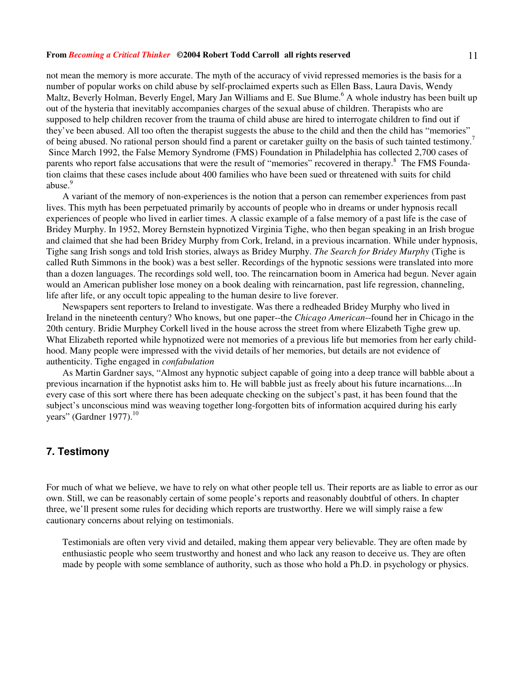not mean the memory is more accurate. The myth of the accuracy of vivid repressed memories is the basis for a number of popular works on child abuse by self-proclaimed experts such as Ellen Bass, Laura Davis, Wendy Maltz, Beverly Holman, Beverly Engel, Mary Jan Williams and E. Sue Blume.<sup>6</sup> A whole industry has been built up out of the hysteria that inevitably accompanies charges of the sexual abuse of children. Therapists who are supposed to help children recover from the trauma of child abuse are hired to interrogate children to find out if they've been abused. All too often the therapist suggests the abuse to the child and then the child has "memories" of being abused. No rational person should find a parent or caretaker guilty on the basis of such tainted testimony.<sup>7</sup> Since March 1992, the False Memory Syndrome (FMS) Foundation in Philadelphia has collected 2,700 cases of parents who report false accusations that were the result of "memories" recovered in therapy.<sup>8</sup> The FMS Foundation claims that these cases include about 400 families who have been sued or threatened with suits for child abuse. 9

A variant of the memory of non-experiences is the notion that a person can remember experiences from past lives. This myth has been perpetuated primarily by accounts of people who in dreams or under hypnosis recall experiences of people who lived in earlier times. A classic example of a false memory of a past life is the case of Bridey Murphy. In 1952, Morey Bernstein hypnotized Virginia Tighe, who then began speaking in an Irish brogue and claimed that she had been Bridey Murphy from Cork, Ireland, in a previous incarnation. While under hypnosis, Tighe sang Irish songs and told Irish stories, always as Bridey Murphy. *The Search for Bridey Murphy* (Tighe is called Ruth Simmons in the book) was a best seller. Recordings of the hypnotic sessions were translated into more than a dozen languages. The recordings sold well, too. The reincarnation boom in America had begun. Never again would an American publisher lose money on a book dealing with reincarnation, past life regression, channeling, life after life, or any occult topic appealing to the human desire to live forever.

Newspapers sent reporters to Ireland to investigate. Was there a redheaded Bridey Murphy who lived in Ireland in the nineteenth century? Who knows, but one paper--the *Chicago American*--found her in Chicago in the 20th century. Bridie Murphey Corkell lived in the house across the street from where Elizabeth Tighe grew up. What Elizabeth reported while hypnotized were not memories of a previous life but memories from her early childhood. Many people were impressed with the vivid details of her memories, but details are not evidence of authenticity. Tighe engaged in *confabulation*

As Martin Gardner says, "Almost any hypnotic subject capable of going into a deep trance will babble about a previous incarnation if the hypnotist asks him to. He will babble just as freely about his future incarnations....In every case of this sort where there has been adequate checking on the subject's past, it has been found that the subject's unconscious mind was weaving together long-forgotten bits of information acquired during his early years" (Gardner 1977).<sup>10</sup>

# **7. Testimony**

For much of what we believe, we have to rely on what other people tell us. Their reports are as liable to error as our own. Still, we can be reasonably certain of some people's reports and reasonably doubtful of others. In chapter three, we'll present some rules for deciding which reports are trustworthy. Here we will simply raise a few cautionary concerns about relying on testimonials.

Testimonials are often very vivid and detailed, making them appear very believable. They are often made by enthusiastic people who seem trustworthy and honest and who lack any reason to deceive us. They are often made by people with some semblance of authority, such as those who hold a Ph.D. in psychology or physics.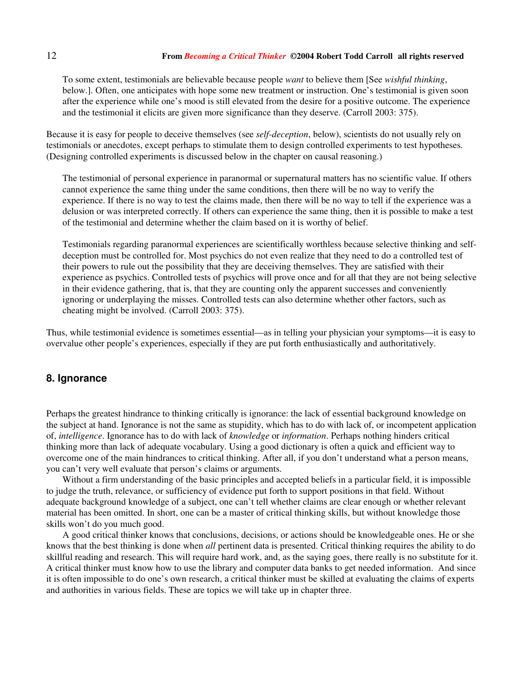To some extent, testimonials are believable because people *want* to believe them [See *wishful thinking*, below.]. Often, one anticipates with hope some new treatment or instruction. One's testimonial is given soon after the experience while one's mood is still elevated from the desire for a positive outcome. The experience and the testimonial it elicits are given more significance than they deserve. (Carroll 2003: 375).

Because it is easy for people to deceive themselves (see *self-deception*, below), scientists do not usually rely on testimonials or anecdotes, except perhaps to stimulate them to design controlled experiments to test hypotheses. (Designing controlled experiments is discussed below in the chapter on causal reasoning.)

The testimonial of personal experience in paranormal or supernatural matters has no scientific value. If others cannot experience the same thing under the same conditions, then there will be no way to verify the experience. If there is no way to test the claims made, then there will be no way to tell if the experience was a delusion or was interpreted correctly. If others can experience the same thing, then it is possible to make a test of the testimonial and determine whether the claim based on it is worthy of belief.

Testimonials regarding paranormal experiences are scientifically worthless because selective thinking and selfdeception must be controlled for. Most psychics do not even realize that they need to do a controlled test of their powers to rule out the possibility that they are deceiving themselves. They are satisfied with their experience as psychics. Controlled tests of psychics will prove once and for all that they are not being selective in their evidence gathering, that is, that they are counting only the apparent successes and conveniently ignoring or underplaying the misses. Controlled tests can also determine whether other factors, such as cheating might be involved. (Carroll 2003: 375).

Thus, while testimonial evidence is sometimes essential—as in telling your physician your symptoms—it is easy to overvalue other people's experiences, especially if they are put forth enthusiastically and authoritatively.

# **8. Ignorance**

Perhaps the greatest hindrance to thinking critically is ignorance: the lack of essential background knowledge on the subject at hand. Ignorance is not the same as stupidity, which has to do with lack of, or incompetent application of, *intelligence*. Ignorance has to do with lack of *knowledge* or *information*. Perhaps nothing hinders critical thinking more than lack of adequate vocabulary. Using a good dictionary is often a quick and efficient way to overcome one of the main hindrances to critical thinking. After all, if you don't understand what a person means, you can't very well evaluate that person's claims or arguments.

Without a firm understanding of the basic principles and accepted beliefs in a particular field, it is impossible to judge the truth, relevance, or sufficiency of evidence put forth to support positions in that field. Without adequate background knowledge of a subject, one can't tell whether claims are clear enough or whether relevant material has been omitted. In short, one can be a master of critical thinking skills, but without knowledge those skills won't do you much good.

A good critical thinker knows that conclusions, decisions, or actions should be knowledgeable ones. He or she knows that the best thinking is done when *all* pertinent data is presented. Critical thinking requires the ability to do skillful reading and research. This will require hard work, and, as the saying goes, there really is no substitute for it. A critical thinker must know how to use the library and computer data banks to get needed information. And since it is often impossible to do one's own research, a critical thinker must be skilled at evaluating the claims of experts and authorities in various fields. These are topics we will take up in chapter three.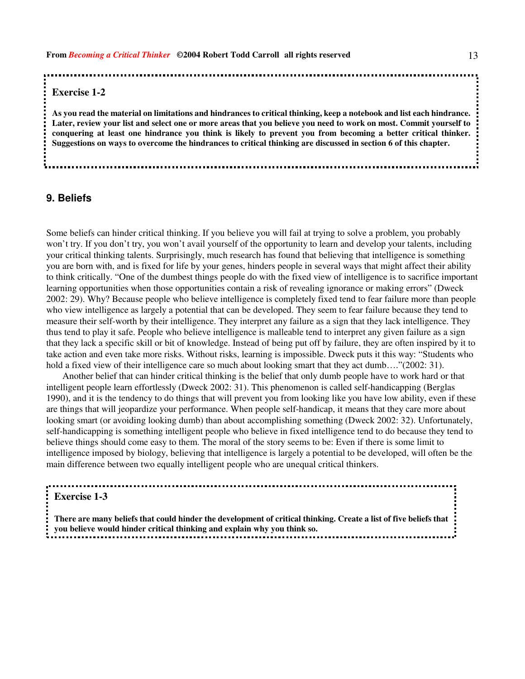# **Exercise 1-2**

As you read the material on limitations and hindrances to critical thinking, keep a notebook and list each hindrance. Later, review your list and select one or more areas that you believe you need to work on most. Commit yourself to conquering at least one hindrance you think is likely to prevent you from becoming a better critical thinker. Suggestions on ways to overcome the hindrances to critical thinking are discussed in section 6 of this chapter.

# **9. Beliefs**

Some beliefs can hinder critical thinking. If you believe you will fail at trying to solve a problem, you probably won't try. If you don't try, you won't avail yourself of the opportunity to learn and develop your talents, including your critical thinking talents. Surprisingly, much research has found that believing that intelligence is something you are born with, and is fixed for life by your genes, hinders people in several ways that might affect their ability to think critically. "One of the dumbest things people do with the fixed view of intelligence is to sacrifice important learning opportunities when those opportunities contain a risk of revealing ignorance or making errors" (Dweck 2002: 29). Why? Because people who believe intelligence is completely fixed tend to fear failure more than people who view intelligence as largely a potential that can be developed. They seem to fear failure because they tend to measure their self-worth by their intelligence. They interpret any failure as a sign that they lack intelligence. They thus tend to play it safe. People who believe intelligence is malleable tend to interpret any given failure as a sign that they lack a specific skill or bit of knowledge. Instead of being put off by failure, they are often inspired by it to take action and even take more risks. Without risks, learning is impossible. Dweck puts it this way: "Students who hold a fixed view of their intelligence care so much about looking smart that they act dumb...."(2002: 31).

Another belief that can hinder critical thinking is the belief that only dumb people have to work hard or that intelligent people learn effortlessly (Dweck 2002: 31). This phenomenon is called self-handicapping (Berglas 1990), and it is the tendency to do things that will prevent you from looking like you have low ability, even if these are things that will jeopardize your performance. When people self-handicap, it means that they care more about looking smart (or avoiding looking dumb) than about accomplishing something (Dweck 2002: 32). Unfortunately, self-handicapping is something intelligent people who believe in fixed intelligence tend to do because they tend to believe things should come easy to them. The moral of the story seems to be: Even if there is some limit to intelligence imposed by biology, believing that intelligence is largely a potential to be developed, will often be the main difference between two equally intelligent people who are unequal critical thinkers.

### **Exercise 1-3**

There are many beliefs that could hinder the development of critical thinking. Create a list of five beliefs that : **you believe would hinder critical thinking and explain why you think so.**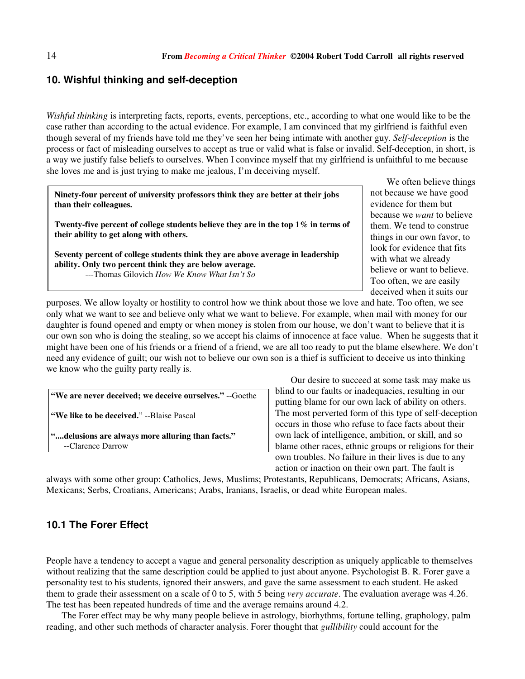# **10. Wishful thinking and self-deception**

*Wishful thinking* is interpreting facts, reports, events, perceptions, etc., according to what one would like to be the case rather than according to the actual evidence. For example, I am convinced that my girlfriend is faithful even though several of my friends have told me they've seen her being intimate with another guy. *Self-deception* is the process or fact of misleading ourselves to accept as true or valid what is false or invalid. Self-deception, in short, is a way we justify false beliefs to ourselves. When I convince myself that my girlfriend is unfaithful to me because she loves me and is just trying to make me jealous, I'm deceiving myself.

**Ninety-four percent of university professors think they are better at their jobs than their colleagues.**

**Twenty-five percent of college students believe they are in the top 1% in terms of their ability to get along with others.**

**Seventy percent of college students think they are above average in leadership ability. Only two percent think they are below average.** ---Thomas Gilovich *How We Know What Isn't So*

We often believe things not because we have good evidence for them but because we *want* to believe them. We tend to construe things in our own favor, to look for evidence that fits with what we already believe or want to believe. Too often, we are easily deceived when it suits our

purposes. We allow loyalty or hostility to control how we think about those we love and hate. Too often, we see only what we want to see and believe only what we want to believe. For example, when mail with money for our daughter is found opened and empty or when money is stolen from our house, we don't want to believe that it is our own son who is doing the stealing, so we accept his claims of innocence at face value. When he suggests that it might have been one of his friends or a friend of a friend, we are all too ready to put the blame elsewhere. We don't need any evidence of guilt; our wish not to believe our own son is a thief is sufficient to deceive us into thinking we know who the guilty party really is.

**"We are never deceived; we deceive ourselves."** --Goethe **"We like to be deceived.**" --Blaise Pascal **"....delusions are always more alluring than facts."** --Clarence Darrow

Our desire to succeed at some task may make us blind to our faults or inadequacies, resulting in our putting blame for our own lack of ability on others. The most perverted form of this type of self-deception occurs in those who refuse to face facts about their own lack of intelligence, ambition, or skill, and so blame other races, ethnic groups or religions for their own troubles. No failure in their lives is due to any action or inaction on their own part. The fault is

always with some other group: Catholics, Jews, Muslims; Protestants, Republicans, Democrats; Africans, Asians, Mexicans; Serbs, Croatians, Americans; Arabs, Iranians, Israelis, or dead white European males.

# **10.1 The Forer Effect**

People have a tendency to accept a vague and general personality description as uniquely applicable to themselves without realizing that the same description could be applied to just about anyone. Psychologist B. R. Forer gave a personality test to his students, ignored their answers, and gave the same assessment to each student. He asked them to grade their assessment on a scale of 0 to 5, with 5 being *very accurate*. The evaluation average was 4.26. The test has been repeated hundreds of time and the average remains around 4.2.

The Forer effect may be why many people believe in astrology, biorhythms, fortune telling, graphology, palm reading, and other such methods of character analysis. Forer thought that *gullibility* could account for the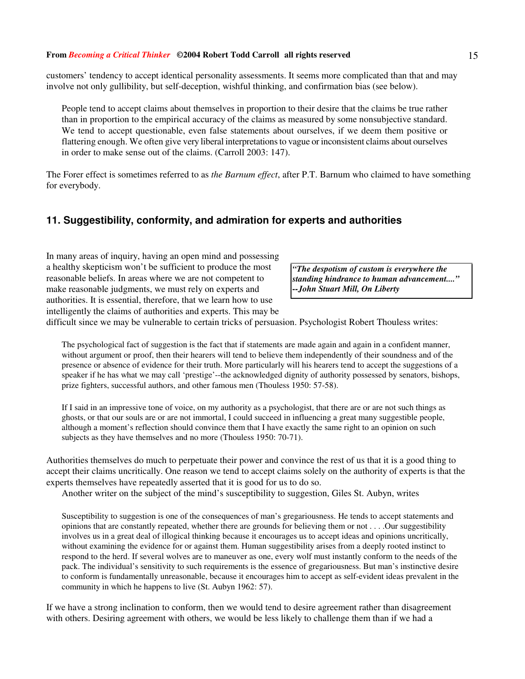customers' tendency to accept identical personality assessments. It seems more complicated than that and may involve not only gullibility, but self-deception, wishful thinking, and confirmation bias (see below).

People tend to accept claims about themselves in proportion to their desire that the claims be true rather than in proportion to the empirical accuracy of the claims as measured by some nonsubjective standard. We tend to accept questionable, even false statements about ourselves, if we deem them positive or flattering enough. We often give very liberal interpretations to vague or inconsistent claims about ourselves in order to make sense out of the claims. (Carroll 2003: 147).

The Forer effect is sometimes referred to as *the Barnum effect*, after P.T. Barnum who claimed to have something for everybody.

# **11. Suggestibility, conformity, and admiration for experts and authorities**

In many areas of inquiry, having an open mind and possessing a healthy skepticism won't be sufficient to produce the most reasonable beliefs. In areas where we are not competent to make reasonable judgments, we must rely on experts and authorities. It is essential, therefore, that we learn how to use intelligently the claims of authorities and experts. This may be

*"The despotism of custom is everywhere the standing hindrance to human advancement...." --John Stuart Mill, On Liberty*

difficult since we may be vulnerable to certain tricks of persuasion. Psychologist Robert Thouless writes:

The psychological fact of suggestion is the fact that if statements are made again and again in a confident manner, without argument or proof, then their hearers will tend to believe them independently of their soundness and of the presence or absence of evidence for their truth. More particularly will his hearers tend to accept the suggestions of a speaker if he has what we may call 'prestige'--the acknowledged dignity of authority possessed by senators, bishops, prize fighters, successful authors, and other famous men (Thouless 1950: 57-58).

If I said in an impressive tone of voice, on my authority as a psychologist, that there are or are not such things as ghosts, or that our souls are or are not immortal, I could succeed in influencing a great many suggestible people, although a moment's reflection should convince them that I have exactly the same right to an opinion on such subjects as they have themselves and no more (Thouless 1950: 70-71).

Authorities themselves do much to perpetuate their power and convince the rest of us that it is a good thing to accept their claims uncritically. One reason we tend to accept claims solely on the authority of experts is that the experts themselves have repeatedly asserted that it is good for us to do so.

Another writer on the subject of the mind's susceptibility to suggestion, Giles St. Aubyn, writes

Susceptibility to suggestion is one of the consequences of man's gregariousness. He tends to accept statements and opinions that are constantly repeated, whether there are grounds for believing them or not . . . .Our suggestibility involves us in a great deal of illogical thinking because it encourages us to accept ideas and opinions uncritically, without examining the evidence for or against them. Human suggestibility arises from a deeply rooted instinct to respond to the herd. If several wolves are to maneuver as one, every wolf must instantly conform to the needs of the pack. The individual's sensitivity to such requirements is the essence of gregariousness. But man's instinctive desire to conform is fundamentally unreasonable, because it encourages him to accept as self-evident ideas prevalent in the community in which he happens to live (St. Aubyn 1962: 57).

If we have a strong inclination to conform, then we would tend to desire agreement rather than disagreement with others. Desiring agreement with others, we would be less likely to challenge them than if we had a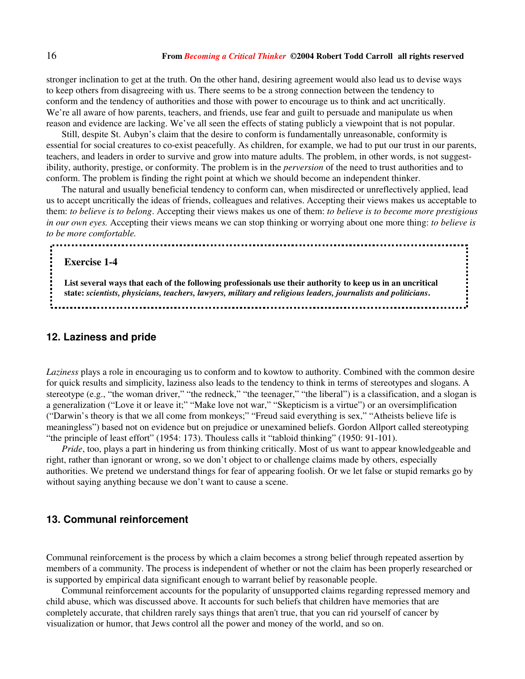stronger inclination to get at the truth. On the other hand, desiring agreement would also lead us to devise ways to keep others from disagreeing with us. There seems to be a strong connection between the tendency to conform and the tendency of authorities and those with power to encourage us to think and act uncritically. We're all aware of how parents, teachers, and friends, use fear and guilt to persuade and manipulate us when reason and evidence are lacking. We've all seen the effects of stating publicly a viewpoint that is not popular.

Still, despite St. Aubyn's claim that the desire to conform is fundamentally unreasonable, conformity is essential for social creatures to co-exist peacefully. As children, for example, we had to put our trust in our parents, teachers, and leaders in order to survive and grow into mature adults. The problem, in other words, is not suggestibility, authority, prestige, or conformity. The problem is in the *perversion* of the need to trust authorities and to conform. The problem is finding the right point at which we should become an independent thinker.

The natural and usually beneficial tendency to conform can, when misdirected or unreflectively applied, lead us to accept uncritically the ideas of friends, colleagues and relatives. Accepting their views makes us acceptable to them: *to believe is to belong*. Accepting their views makes us one of them: *to believe is to become more prestigious in our own eyes.* Accepting their views means we can stop thinking or worrying about one more thing: *to believe is to be more comfortable.* 

### **Exercise 1-4**

List several ways that each of the following professionals use their authority to keep us in an uncritical **state:** *scientists, physicians, teachers, lawyers, military and religious leaders, journalists and politicians***.**

### **12. Laziness and pride**

*Laziness* plays a role in encouraging us to conform and to kowtow to authority. Combined with the common desire for quick results and simplicity, laziness also leads to the tendency to think in terms of stereotypes and slogans. A stereotype (e.g., "the woman driver," "the redneck," "the teenager," "the liberal") is a classification, and a slogan is a generalization ("Love it or leave it;" "Make love not war," "Skepticism is a virtue") or an oversimplification ("Darwin's theory is that we all come from monkeys;" "Freud said everything is sex," "Atheists believe life is meaningless") based not on evidence but on prejudice or unexamined beliefs. Gordon Allport called stereotyping "the principle of least effort" (1954: 173). Thouless calls it "tabloid thinking" (1950: 91-101).

*Pride*, too, plays a part in hindering us from thinking critically. Most of us want to appear knowledgeable and right, rather than ignorant or wrong, so we don't object to or challenge claims made by others, especially authorities. We pretend we understand things for fear of appearing foolish. Or we let false or stupid remarks go by without saying anything because we don't want to cause a scene.

# **13. Communal reinforcement**

Communal reinforcement is the process by which a claim becomes a strong belief through repeated assertion by members of a community. The process is independent of whether or not the claim has been properly researched or is supported by empirical data significant enough to warrant belief by reasonable people.

Communal reinforcement accounts for the popularity of unsupported claims regarding repressed memory and child abuse, which was discussed above. It accounts for such beliefs that children have memories that are completely accurate, that children rarely says things that aren't true, that you can rid yourself of cancer by visualization or humor, that Jews control all the power and money of the world, and so on.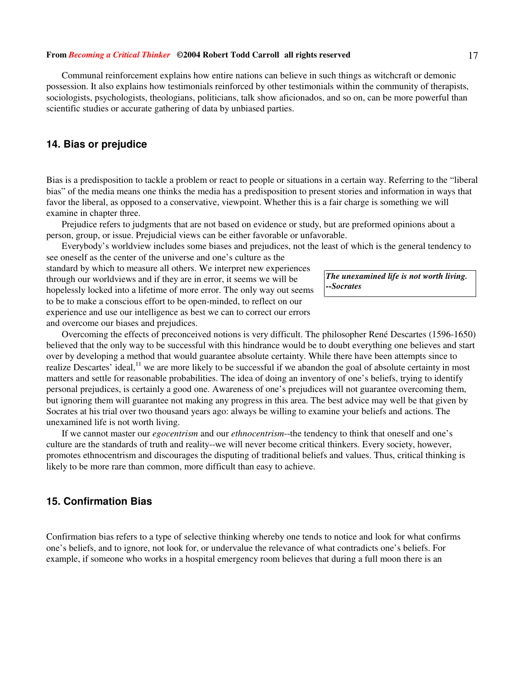Communal reinforcement explains how entire nations can believe in such things as witchcraft or demonic possession. It also explains how testimonials reinforced by other testimonials within the community of therapists, sociologists, psychologists, theologians, politicians, talk show aficionados, and so on, can be more powerful than scientific studies or accurate gathering of data by unbiased parties.

### **14. Bias or prejudice**

Bias is a predisposition to tackle a problem or react to people or situations in a certain way. Referring to the "liberal bias" of the media means one thinks the media has a predisposition to present stories and information in ways that favor the liberal, as opposed to a conservative, viewpoint. Whether this is a fair charge is something we will examine in chapter three.

Prejudice refers to judgments that are not based on evidence or study, but are preformed opinions about a person, group, or issue. Prejudicial views can be either favorable or unfavorable.

Everybody's worldview includes some biases and prejudices, not the least of which is the general tendency to see oneself as the center of the universe and one's culture as the

standard by which to measure all others. We interpret new experiences through our worldviews and if they are in error, it seems we will be hopelessly locked into a lifetime of more error. The only way out seems to be to make a conscious effort to be open-minded, to reflect on our experience and use our intelligence as best we can to correct our errors and overcome our biases and prejudices.

*The unexamined life is not worth living. --Socrates*

Overcoming the effects of preconceived notions is very difficult. The philosopher René Descartes (1596-1650) believed that the only way to be successful with this hindrance would be to doubt everything one believes and start over by developing a method that would guarantee absolute certainty. While there have been attempts since to realize Descartes' ideal,<sup>11</sup> we are more likely to be successful if we abandon the goal of absolute certainty in most matters and settle for reasonable probabilities. The idea of doing an inventory of one's beliefs, trying to identify personal prejudices, is certainly a good one. Awareness of one's prejudices will not guarantee overcoming them, but ignoring them will guarantee not making any progress in this area. The best advice may well be that given by Socrates at his trial over two thousand years ago: always be willing to examine your beliefs and actions. The unexamined life is not worth living.

If we cannot master our *egocentrism* and our *ethnocentrism*--the tendency to think that oneself and one's culture are the standards of truth and reality--we will never become critical thinkers. Every society, however, promotes ethnocentrism and discourages the disputing of traditional beliefs and values. Thus, critical thinking is likely to be more rare than common, more difficult than easy to achieve.

# **15. Confirmation Bias**

Confirmation bias refers to a type of selective thinking whereby one tends to notice and look for what confirms one's beliefs, and to ignore, not look for, or undervalue the relevance of what contradicts one's beliefs. For example, if someone who works in a hospital emergency room believes that during a full moon there is an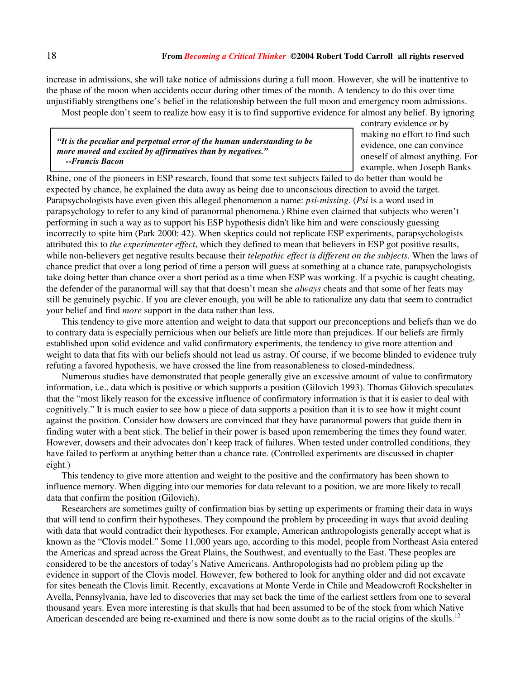increase in admissions, she will take notice of admissions during a full moon. However, she will be inattentive to the phase of the moon when accidents occur during other times of the month. A tendency to do this over time unjustifiably strengthens one's belief in the relationship between the full moon and emergency room admissions.

Most people don't seem to realize how easy it is to find supportive evidence for almost any belief. By ignoring

### *"It is the peculiar and perpetual error of the human understanding to be more moved and excited by affirmatives than by negatives." --Francis Bacon*

contrary evidence or by making no effort to find such evidence, one can convince oneself of almost anything. For example, when Joseph Banks

Rhine, one of the pioneers in ESP research, found that some test subjects failed to do better than would be expected by chance, he explained the data away as being due to unconscious direction to avoid the target. Parapsychologists have even given this alleged phenomenon a name: *psi-missing*. (*Psi* is a word used in parapsychology to refer to any kind of paranormal phenomena.) Rhine even claimed that subjects who weren't performing in such a way as to support his ESP hypothesis didn't like him and were consciously guessing incorrectly to spite him (Park 2000: 42). When skeptics could not replicate ESP experiments, parapsychologists attributed this to *the experimenter effect*, which they defined to mean that believers in ESP got positive results, while non-believers get negative results because their *telepathic effect is different on the subjects*. When the laws of chance predict that over a long period of time a person will guess at something at a chance rate, parapsychologists take doing better than chance over a short period as a time when ESP was working. If a psychic is caught cheating, the defender of the paranormal will say that that doesn't mean she *always* cheats and that some of her feats may still be genuinely psychic. If you are clever enough, you will be able to rationalize any data that seem to contradict your belief and find *more* support in the data rather than less.

This tendency to give more attention and weight to data that support our preconceptions and beliefs than we do to contrary data is especially pernicious when our beliefs are little more than prejudices. If our beliefs are firmly established upon solid evidence and valid confirmatory experiments, the tendency to give more attention and weight to data that fits with our beliefs should not lead us astray. Of course, if we become blinded to evidence truly refuting a favored hypothesis, we have crossed the line from reasonableness to closed-mindedness.

Numerous studies have demonstrated that people generally give an excessive amount of value to confirmatory information, i.e., data which is positive or which supports a position (Gilovich 1993). Thomas Gilovich speculates that the "most likely reason for the excessive influence of confirmatory information is that it is easier to deal with cognitively." It is much easier to see how a piece of data supports a position than it is to see how it might count against the position. Consider how dowsers are convinced that they have paranormal powers that guide them in finding water with a bent stick. The belief in their power is based upon remembering the times they found water. However, dowsers and their advocates don't keep track of failures. When tested under controlled conditions, they have failed to perform at anything better than a chance rate. (Controlled experiments are discussed in chapter eight.)

This tendency to give more attention and weight to the positive and the confirmatory has been shown to influence memory. When digging into our memories for data relevant to a position, we are more likely to recall data that confirm the position (Gilovich).

Researchers are sometimes guilty of confirmation bias by setting up experiments or framing their data in ways that will tend to confirm their hypotheses. They compound the problem by proceeding in ways that avoid dealing with data that would contradict their hypotheses. For example, American anthropologists generally accept what is known as the "Clovis model." Some 11,000 years ago, according to this model, people from Northeast Asia entered the Americas and spread across the Great Plains, the Southwest, and eventually to the East. These peoples are considered to be the ancestors of today's Native Americans. Anthropologists had no problem piling up the evidence in support of the Clovis model. However, few bothered to look for anything older and did not excavate for sites beneath the Clovis limit. Recently, excavations at Monte Verde in Chile and Meadowcroft Rockshelter in Avella, Pennsylvania, have led to discoveries that may set back the time of the earliest settlers from one to several thousand years. Even more interesting is that skulls that had been assumed to be of the stock from which Native American descended are being re-examined and there is now some doubt as to the racial origins of the skulls.<sup>12</sup>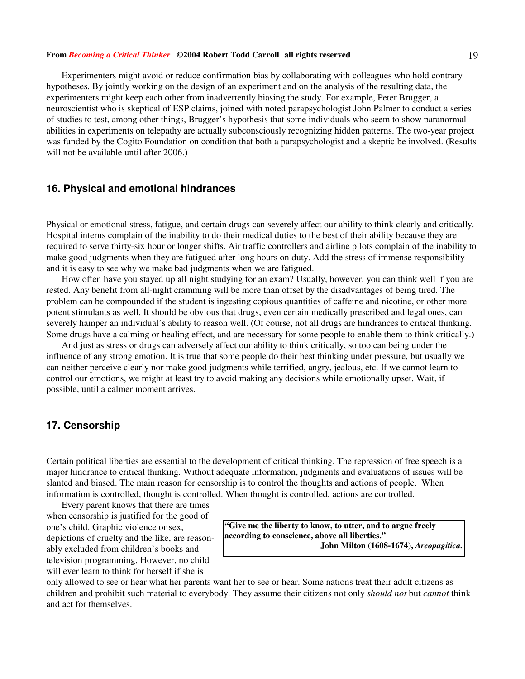Experimenters might avoid or reduce confirmation bias by collaborating with colleagues who hold contrary hypotheses. By jointly working on the design of an experiment and on the analysis of the resulting data, the experimenters might keep each other from inadvertently biasing the study. For example, Peter Brugger, a neuroscientist who is skeptical of ESP claims, joined with noted parapsychologist John Palmer to conduct a series of studies to test, among other things, Brugger's hypothesis that some individuals who seem to show paranormal abilities in experiments on telepathy are actually subconsciously recognizing hidden patterns. The two-year project was funded by the Cogito Foundation on condition that both a parapsychologist and a skeptic be involved. (Results will not be available until after 2006.)

# **16. Physical and emotional hindrances**

Physical or emotional stress, fatigue, and certain drugs can severely affect our ability to think clearly and critically. Hospital interns complain of the inability to do their medical duties to the best of their ability because they are required to serve thirty-six hour or longer shifts. Air traffic controllers and airline pilots complain of the inability to make good judgments when they are fatigued after long hours on duty. Add the stress of immense responsibility and it is easy to see why we make bad judgments when we are fatigued.

How often have you stayed up all night studying for an exam? Usually, however, you can think well if you are rested. Any benefit from all-night cramming will be more than offset by the disadvantages of being tired. The problem can be compounded if the student is ingesting copious quantities of caffeine and nicotine, or other more potent stimulants as well. It should be obvious that drugs, even certain medically prescribed and legal ones, can severely hamper an individual's ability to reason well. (Of course, not all drugs are hindrances to critical thinking. Some drugs have a calming or healing effect, and are necessary for some people to enable them to think critically.)

And just as stress or drugs can adversely affect our ability to think critically, so too can being under the influence of any strong emotion. It is true that some people do their best thinking under pressure, but usually we can neither perceive clearly nor make good judgments while terrified, angry, jealous, etc. If we cannot learn to control our emotions, we might at least try to avoid making any decisions while emotionally upset. Wait, if possible, until a calmer moment arrives.

# **17. Censorship**

Certain political liberties are essential to the development of critical thinking. The repression of free speech is a major hindrance to critical thinking. Without adequate information, judgments and evaluations of issues will be slanted and biased. The main reason for censorship is to control the thoughts and actions of people. When information is controlled, thought is controlled. When thought is controlled, actions are controlled.

Every parent knows that there are times when censorship is justified for the good of one's child. Graphic violence or sex, depictions of cruelty and the like, are reasonably excluded from children's books and television programming. However, no child will ever learn to think for herself if she is

**"Give me the liberty to know, to utter, and to argue freely according to conscience, above all liberties." John Milton (1608-1674),** *Areopagitica.*

only allowed to see or hear what her parents want her to see or hear. Some nations treat their adult citizens as children and prohibit such material to everybody. They assume their citizens not only *should not* but *cannot* think and act for themselves.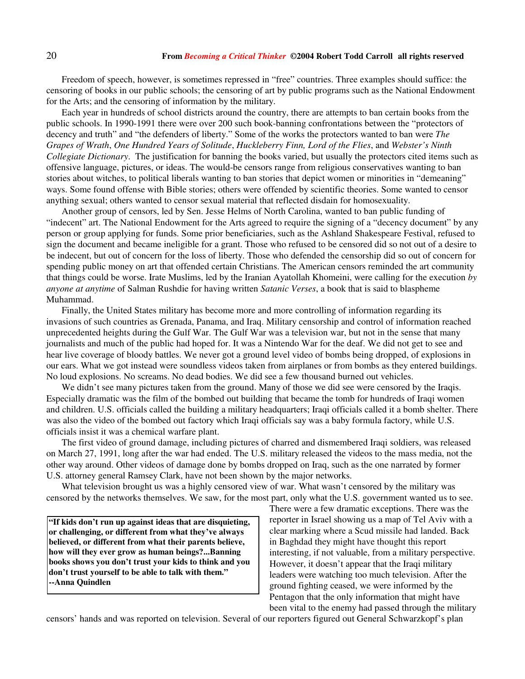Freedom of speech, however, is sometimes repressed in "free" countries. Three examples should suffice: the censoring of books in our public schools; the censoring of art by public programs such as the National Endowment for the Arts; and the censoring of information by the military.

Each year in hundreds of school districts around the country, there are attempts to ban certain books from the public schools. In 1990-1991 there were over 200 such book-banning confrontations between the "protectors of decency and truth" and "the defenders of liberty." Some of the works the protectors wanted to ban were *The Grapes of Wrath*, *One Hundred Years of Solitude*, *Huckleberry Finn, Lord of the Flies*, and *Webster's Ninth Collegiate Dictionary*. The justification for banning the books varied, but usually the protectors cited items such as offensive language, pictures, or ideas. The would-be censors range from religious conservatives wanting to ban stories about witches, to political liberals wanting to ban stories that depict women or minorities in "demeaning" ways. Some found offense with Bible stories; others were offended by scientific theories. Some wanted to censor anything sexual; others wanted to censor sexual material that reflected disdain for homosexuality.

Another group of censors, led by Sen. Jesse Helms of North Carolina, wanted to ban public funding of "indecent" art. The National Endowment for the Arts agreed to require the signing of a "decency document" by any person or group applying for funds. Some prior beneficiaries, such as the Ashland Shakespeare Festival, refused to sign the document and became ineligible for a grant. Those who refused to be censored did so not out of a desire to be indecent, but out of concern for the loss of liberty. Those who defended the censorship did so out of concern for spending public money on art that offended certain Christians. The American censors reminded the art community that things could be worse. Irate Muslims, led by the Iranian Ayatollah Khomeini, were calling for the execution *by anyone at anytime* of Salman Rushdie for having written *Satanic Verses*, a book that is said to blaspheme Muhammad.

Finally, the United States military has become more and more controlling of information regarding its invasions of such countries as Grenada, Panama, and Iraq. Military censorship and control of information reached unprecedented heights during the Gulf War. The Gulf War was a television war, but not in the sense that many journalists and much of the public had hoped for. It was a Nintendo War for the deaf. We did not get to see and hear live coverage of bloody battles. We never got a ground level video of bombs being dropped, of explosions in our ears. What we got instead were soundless videos taken from airplanes or from bombs as they entered buildings. No loud explosions. No screams. No dead bodies. We did see a few thousand burned out vehicles.

We didn't see many pictures taken from the ground. Many of those we did see were censored by the Iraqis. Especially dramatic was the film of the bombed out building that became the tomb for hundreds of Iraqi women and children. U.S. officials called the building a military headquarters; Iraqi officials called it a bomb shelter. There was also the video of the bombed out factory which Iraqi officials say was a baby formula factory, while U.S. officials insist it was a chemical warfare plant.

The first video of ground damage, including pictures of charred and dismembered Iraqi soldiers, was released on March 27, 1991, long after the war had ended. The U.S. military released the videos to the mass media, not the other way around. Other videos of damage done by bombs dropped on Iraq, such as the one narrated by former U.S. attorney general Ramsey Clark, have not been shown by the major networks.

What television brought us was a highly censored view of war. What wasn't censored by the military was censored by the networks themselves. We saw, for the most part, only what the U.S. government wanted us to see.

**"If kids don't run up against ideas that are disquieting, or challenging, or different from what they've always believed, or different from what their parents believe, how will they ever grow as human beings?...Banning books shows you don't trust your kids to think and you don't trust yourself to be able to talk with them." --Anna Quindlen**

There were a few dramatic exceptions. There was the reporter in Israel showing us a map of Tel Aviv with a clear marking where a Scud missile had landed. Back in Baghdad they might have thought this report interesting, if not valuable, from a military perspective. However, it doesn't appear that the Iraqi military leaders were watching too much television. After the ground fighting ceased, we were informed by the Pentagon that the only information that might have been vital to the enemy had passed through the military

censors' hands and was reported on television. Several of our reporters figured out General Schwarzkopf's plan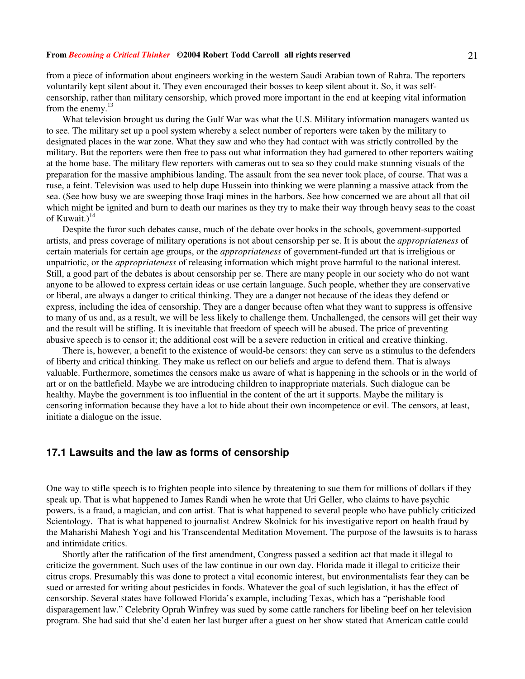from a piece of information about engineers working in the western Saudi Arabian town of Rahra. The reporters voluntarily kept silent about it. They even encouraged their bosses to keep silent about it. So, it was selfcensorship, rather than military censorship, which proved more important in the end at keeping vital information from the enemy.<sup>13</sup>

What television brought us during the Gulf War was what the U.S. Military information managers wanted us to see. The military set up a pool system whereby a select number of reporters were taken by the military to designated places in the war zone. What they saw and who they had contact with was strictly controlled by the military. But the reporters were then free to pass out what information they had garnered to other reporters waiting at the home base. The military flew reporters with cameras out to sea so they could make stunning visuals of the preparation for the massive amphibious landing. The assault from the sea never took place, of course. That was a ruse, a feint. Television was used to help dupe Hussein into thinking we were planning a massive attack from the sea. (See how busy we are sweeping those Iraqi mines in the harbors. See how concerned we are about all that oil which might be ignited and burn to death our marines as they try to make their way through heavy seas to the coast of Kuwait.)<sup>14</sup>

Despite the furor such debates cause, much of the debate over books in the schools, government-supported artists, and press coverage of military operations is not about censorship per se. It is about the *appropriateness* of certain materials for certain age groups, or the *appropriateness* of government-funded art that is irreligious or unpatriotic, or the *appropriateness* of releasing information which might prove harmful to the national interest. Still, a good part of the debates is about censorship per se. There are many people in our society who do not want anyone to be allowed to express certain ideas or use certain language. Such people, whether they are conservative or liberal, are always a danger to critical thinking. They are a danger not because of the ideas they defend or express, including the idea of censorship. They are a danger because often what they want to suppress is offensive to many of us and, as a result, we will be less likely to challenge them. Unchallenged, the censors will get their way and the result will be stifling. It is inevitable that freedom of speech will be abused. The price of preventing abusive speech is to censor it; the additional cost will be a severe reduction in critical and creative thinking.

There is, however, a benefit to the existence of would-be censors: they can serve as a stimulus to the defenders of liberty and critical thinking. They make us reflect on our beliefs and argue to defend them. That is always valuable. Furthermore, sometimes the censors make us aware of what is happening in the schools or in the world of art or on the battlefield. Maybe we are introducing children to inappropriate materials. Such dialogue can be healthy. Maybe the government is too influential in the content of the art it supports. Maybe the military is censoring information because they have a lot to hide about their own incompetence or evil. The censors, at least, initiate a dialogue on the issue.

# **17.1 Lawsuits and the law as forms of censorship**

One way to stifle speech is to frighten people into silence by threatening to sue them for millions of dollars if they speak up. That is what happened to James Randi when he wrote that Uri Geller, who claims to have psychic powers, is a fraud, a magician, and con artist. That is what happened to several people who have publicly criticized Scientology. That is what happened to journalist Andrew Skolnick for his investigative report on health fraud by the Maharishi Mahesh Yogi and his Transcendental Meditation Movement. The purpose of the lawsuits is to harass and intimidate critics.

Shortly after the ratification of the first amendment, Congress passed a sedition act that made it illegal to criticize the government. Such uses of the law continue in our own day. Florida made it illegal to criticize their citrus crops. Presumably this was done to protect a vital economic interest, but environmentalists fear they can be sued or arrested for writing about pesticides in foods. Whatever the goal of such legislation, it has the effect of censorship. Several states have followed Florida's example, including Texas, which has a "perishable food disparagement law." Celebrity Oprah Winfrey was sued by some cattle ranchers for libeling beef on her television program. She had said that she'd eaten her last burger after a guest on her show stated that American cattle could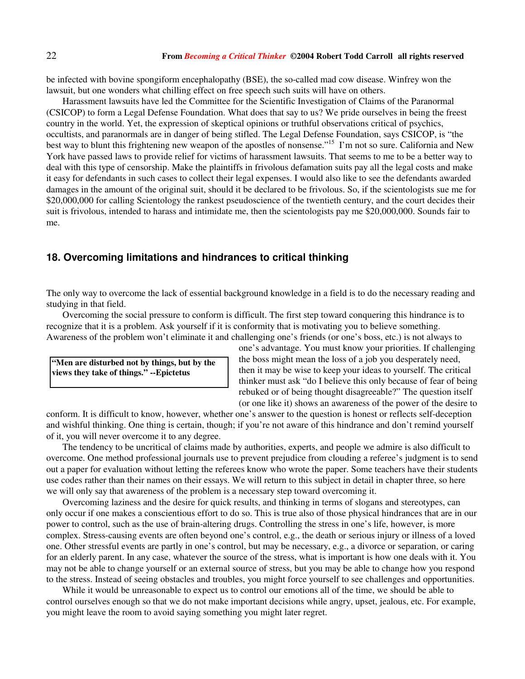be infected with bovine spongiform encephalopathy (BSE), the so-called mad cow disease. Winfrey won the lawsuit, but one wonders what chilling effect on free speech such suits will have on others.

Harassment lawsuits have led the Committee for the Scientific Investigation of Claims of the Paranormal (CSICOP) to form a Legal Defense Foundation. What does that say to us? We pride ourselves in being the freest country in the world. Yet, the expression of skeptical opinions or truthful observations critical of psychics, occultists, and paranormals are in danger of being stifled. The Legal Defense Foundation, says CSICOP, is "the best way to blunt this frightening new weapon of the apostles of nonsense."<sup>15</sup> I'm not so sure. California and New York have passed laws to provide relief for victims of harassment lawsuits. That seems to me to be a better way to deal with this type of censorship. Make the plaintiffs in frivolous defamation suits pay all the legal costs and make it easy for defendants in such cases to collect their legal expenses. I would also like to see the defendants awarded damages in the amount of the original suit, should it be declared to be frivolous. So, if the scientologists sue me for \$20,000,000 for calling Scientology the rankest pseudoscience of the twentieth century, and the court decides their suit is frivolous, intended to harass and intimidate me, then the scientologists pay me \$20,000,000. Sounds fair to me.

# **18. Overcoming limitations and hindrances to critical thinking**

The only way to overcome the lack of essential background knowledge in a field is to do the necessary reading and studying in that field.

Overcoming the social pressure to conform is difficult. The first step toward conquering this hindrance is to recognize that it is a problem. Ask yourself if it is conformity that is motivating you to believe something. Awareness of the problem won't eliminate it and challenging one's friends (or one's boss, etc.) is not always to

**"Men are disturbed not by things, but by the views they take of things." --Epictetus**

one's advantage. You must know your priorities. If challenging the boss might mean the loss of a job you desperately need, then it may be wise to keep your ideas to yourself. The critical thinker must ask "do I believe this only because of fear of being rebuked or of being thought disagreeable?" The question itself (or one like it) shows an awareness of the power of the desire to

conform. It is difficult to know, however, whether one's answer to the question is honest or reflects self-deception and wishful thinking. One thing is certain, though; if you're not aware of this hindrance and don't remind yourself of it, you will never overcome it to any degree.

The tendency to be uncritical of claims made by authorities, experts, and people we admire is also difficult to overcome. One method professional journals use to prevent prejudice from clouding a referee's judgment is to send out a paper for evaluation without letting the referees know who wrote the paper. Some teachers have their students use codes rather than their names on their essays. We will return to this subject in detail in chapter three, so here we will only say that awareness of the problem is a necessary step toward overcoming it.

Overcoming laziness and the desire for quick results, and thinking in terms of slogans and stereotypes, can only occur if one makes a conscientious effort to do so. This is true also of those physical hindrances that are in our power to control, such as the use of brain-altering drugs. Controlling the stress in one's life, however, is more complex. Stress-causing events are often beyond one's control, e.g., the death or serious injury or illness of a loved one. Other stressful events are partly in one's control, but may be necessary, e.g., a divorce or separation, or caring for an elderly parent. In any case, whatever the source of the stress, what is important is how one deals with it. You may not be able to change yourself or an external source of stress, but you may be able to change how you respond to the stress. Instead of seeing obstacles and troubles, you might force yourself to see challenges and opportunities.

While it would be unreasonable to expect us to control our emotions all of the time, we should be able to control ourselves enough so that we do not make important decisions while angry, upset, jealous, etc. For example, you might leave the room to avoid saying something you might later regret.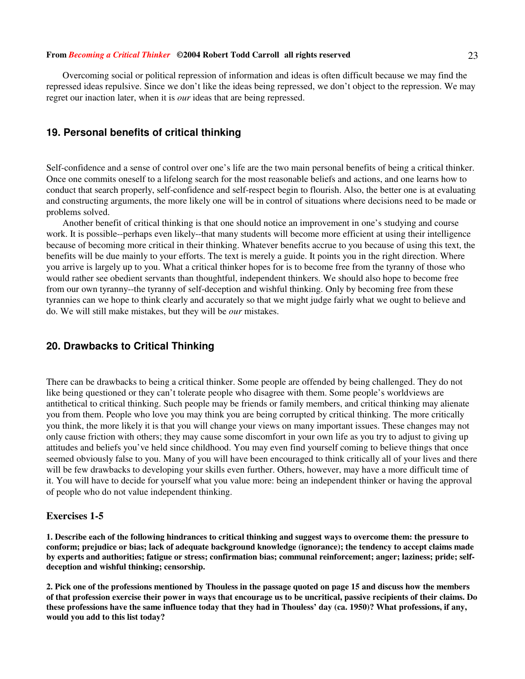Overcoming social or political repression of information and ideas is often difficult because we may find the repressed ideas repulsive. Since we don't like the ideas being repressed, we don't object to the repression. We may regret our inaction later, when it is *our* ideas that are being repressed.

# **19. Personal benefits of critical thinking**

Self-confidence and a sense of control over one's life are the two main personal benefits of being a critical thinker. Once one commits oneself to a lifelong search for the most reasonable beliefs and actions, and one learns how to conduct that search properly, self-confidence and self-respect begin to flourish. Also, the better one is at evaluating and constructing arguments, the more likely one will be in control of situations where decisions need to be made or problems solved.

Another benefit of critical thinking is that one should notice an improvement in one's studying and course work. It is possible--perhaps even likely--that many students will become more efficient at using their intelligence because of becoming more critical in their thinking. Whatever benefits accrue to you because of using this text, the benefits will be due mainly to your efforts. The text is merely a guide. It points you in the right direction. Where you arrive is largely up to you. What a critical thinker hopes for is to become free from the tyranny of those who would rather see obedient servants than thoughtful, independent thinkers. We should also hope to become free from our own tyranny--the tyranny of self-deception and wishful thinking. Only by becoming free from these tyrannies can we hope to think clearly and accurately so that we might judge fairly what we ought to believe and do. We will still make mistakes, but they will be *our* mistakes.

# **20. Drawbacks to Critical Thinking**

There can be drawbacks to being a critical thinker. Some people are offended by being challenged. They do not like being questioned or they can't tolerate people who disagree with them. Some people's worldviews are antithetical to critical thinking. Such people may be friends or family members, and critical thinking may alienate you from them. People who love you may think you are being corrupted by critical thinking. The more critically you think, the more likely it is that you will change your views on many important issues. These changes may not only cause friction with others; they may cause some discomfort in your own life as you try to adjust to giving up attitudes and beliefs you've held since childhood. You may even find yourself coming to believe things that once seemed obviously false to you. Many of you will have been encouraged to think critically all of your lives and there will be few drawbacks to developing your skills even further. Others, however, may have a more difficult time of it. You will have to decide for yourself what you value more: being an independent thinker or having the approval of people who do not value independent thinking.

### **Exercises 1-5**

1. Describe each of the following hindrances to critical thinking and suggest ways to overcome them: the pressure to conform; prejudice or bias; lack of adequate background knowledge (ignorance); the tendency to accept claims made by experts and authorities; fatigue or stress; confirmation bias; communal reinforcement; anger; laziness; pride; self**deception and wishful thinking; censorship.**

2. Pick one of the professions mentioned by Thouless in the passage quoted on page 15 and discuss how the members of that profession exercise their power in ways that encourage us to be uncritical, passive recipients of their claims. Do these professions have the same influence today that they had in Thouless' day (ca. 1950)? What professions, if any, **would you add to this list today?**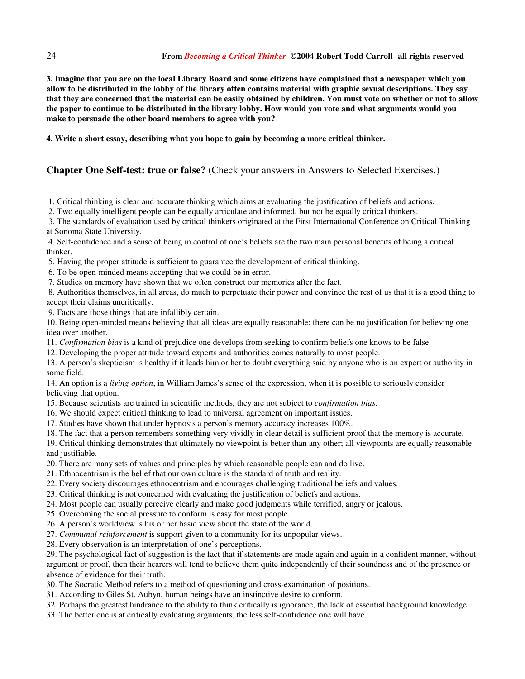3. Imagine that you are on the local Library Board and some citizens have complained that a newspaper which you allow to be distributed in the lobby of the library often contains material with graphic sexual descriptions. They say that they are concerned that the material can be easily obtained by children. You must vote on whether or not to allow the paper to continue to be distributed in the library lobby. How would you vote and what arguments would you **make to persuade the other board members to agree with you?**

**4. Write a short essay, describing what you hope to gain by becoming a more critical thinker.**

# **Chapter One Self-test: true or false?** (Check your answers in Answers to Selected Exercises.)

1. Critical thinking is clear and accurate thinking which aims at evaluating the justification of beliefs and actions.

2. Two equally intelligent people can be equally articulate and informed, but not be equally critical thinkers.

3. The standards of evaluation used by critical thinkers originated at the First International Conference on Critical Thinking at Sonoma State University.

4. Self-confidence and a sense of being in control of one's beliefs are the two main personal benefits of being a critical thinker.

5. Having the proper attitude is sufficient to guarantee the development of critical thinking.

6. To be open-minded means accepting that we could be in error.

7. Studies on memory have shown that we often construct our memories after the fact.

8. Authorities themselves, in all areas, do much to perpetuate their power and convince the rest of us that it is a good thing to accept their claims uncritically.

9. Facts are those things that are infallibly certain.

10. Being open-minded means believing that all ideas are equally reasonable: there can be no justification for believing one idea over another.

11. *Confirmation bias* is a kind of prejudice one develops from seeking to confirm beliefs one knows to be false.

12. Developing the proper attitude toward experts and authorities comes naturally to most people.

13. A person's skepticism is healthy if it leads him or her to doubt everything said by anyone who is an expert or authority in some field.

14. An option is a *living option*, in William James's sense of the expression, when it is possible to seriously consider believing that option.

15. Because scientists are trained in scientific methods, they are not subject to *confirmation bias*.

- 16. We should expect critical thinking to lead to universal agreement on important issues.
- 17. Studies have shown that under hypnosis a person's memory accuracy increases 100%.

18. The fact that a person remembers something very vividly in clear detail is sufficient proof that the memory is accurate.

19. Critical thinking demonstrates that ultimately no viewpoint is better than any other; all viewpoints are equally reasonable and justifiable.

- 20. There are many sets of values and principles by which reasonable people can and do live.
- 21. Ethnocentrism is the belief that our own culture is the standard of truth and reality.
- 22. Every society discourages ethnocentrism and encourages challenging traditional beliefs and values.
- 23. Critical thinking is not concerned with evaluating the justification of beliefs and actions.
- 24. Most people can usually perceive clearly and make good judgments while terrified, angry or jealous.
- 25. Overcoming the social pressure to conform is easy for most people.
- 26. A person's worldview is his or her basic view about the state of the world.
- 27. *Communal reinforcement* is support given to a community for its unpopular views.
- 28. Every observation is an interpretation of one's perceptions.

29. The psychological fact of suggestion is the fact that if statements are made again and again in a confident manner, without argument or proof, then their hearers will tend to believe them quite independently of their soundness and of the presence or absence of evidence for their truth.

- 30. The Socratic Method refers to a method of questioning and cross-examination of positions.
- 31. According to Giles St. Aubyn, human beings have an instinctive desire to conform.
- 32. Perhaps the greatest hindrance to the ability to think critically is ignorance, the lack of essential background knowledge.
- 33. The better one is at critically evaluating arguments, the less self-confidence one will have.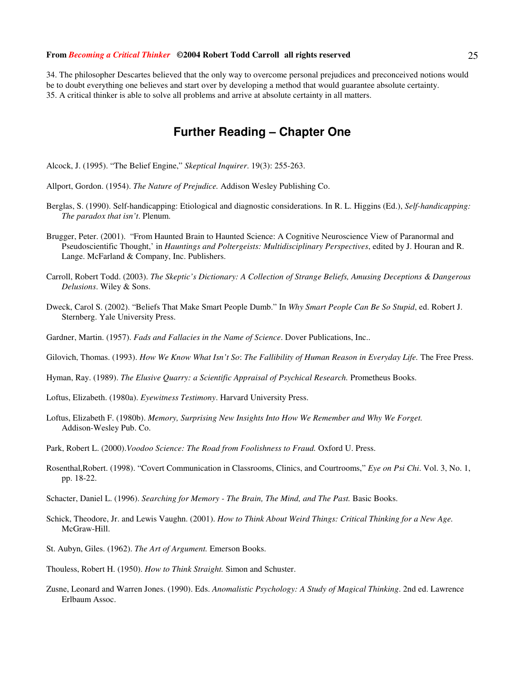34. The philosopher Descartes believed that the only way to overcome personal prejudices and preconceived notions would be to doubt everything one believes and start over by developing a method that would guarantee absolute certainty. 35. A critical thinker is able to solve all problems and arrive at absolute certainty in all matters.

# **Further Reading – Chapter One**

Alcock, J. (1995). "The Belief Engine," *Skeptical Inquirer*. 19(3): 255-263.

- Allport, Gordon. (1954). *The Nature of Prejudice.* Addison Wesley Publishing Co.
- Berglas, S. (1990). Self-handicapping: Etiological and diagnostic considerations. In R. L. Higgins (Ed.), *Self-handicapping: The paradox that isn't*. Plenum.
- Brugger, Peter. (2001). "From Haunted Brain to Haunted Science: A Cognitive Neuroscience View of Paranormal and Pseudoscientific Thought,' in *Hauntings and Poltergeists: Multidisciplinary Perspectives*, edited by J. Houran and R. Lange. McFarland & Company, Inc. Publishers.
- Carroll, Robert Todd. (2003). *The Skeptic's Dictionary: A Collection of Strange Beliefs, Amusing Deceptions & Dangerous Delusions*. Wiley & Sons.
- Dweck, Carol S. (2002). "Beliefs That Make Smart People Dumb." In *Why Smart People Can Be So Stupid*, ed. Robert J. Sternberg. Yale University Press.
- Gardner, Martin. (1957). *Fads and Fallacies in the Name of Science*. Dover Publications, Inc..
- Gilovich, Thomas. (1993). *How We Know What Isn't So*: *The Fallibility of Human Reason in Everyday Life.* The Free Press.
- Hyman, Ray. (1989). *The Elusive Quarry: a Scientific Appraisal of Psychical Research.* Prometheus Books.
- Loftus, Elizabeth. (1980a). *Eyewitness Testimony*. Harvard University Press.
- Loftus, Elizabeth F. (1980b). *Memory, Surprising New Insights Into How We Remember and Why We Forget.* Addison-Wesley Pub. Co.
- Park, Robert L. (2000).*Voodoo Science: The Road from Foolishness to Fraud.* Oxford U. Press.
- Rosenthal,Robert. (1998). "Covert Communication in Classrooms, Clinics, and Courtrooms," *Eye on Psi Chi*. Vol. 3, No. 1, pp. 18-22.
- Schacter, Daniel L. (1996). *Searching for Memory - The Brain, The Mind, and The Past.* Basic Books.
- Schick, Theodore, Jr. and Lewis Vaughn. (2001). *How to Think About Weird Things: Critical Thinking for a New Age.* McGraw-Hill.
- St. Aubyn, Giles. (1962). *The Art of Argument.* Emerson Books.
- Thouless, Robert H. (1950). *How to Think Straight.* Simon and Schuster.
- Zusne, Leonard and Warren Jones. (1990). Eds. *Anomalistic Psychology: A Study of Magical Thinking*. 2nd ed. Lawrence Erlbaum Assoc.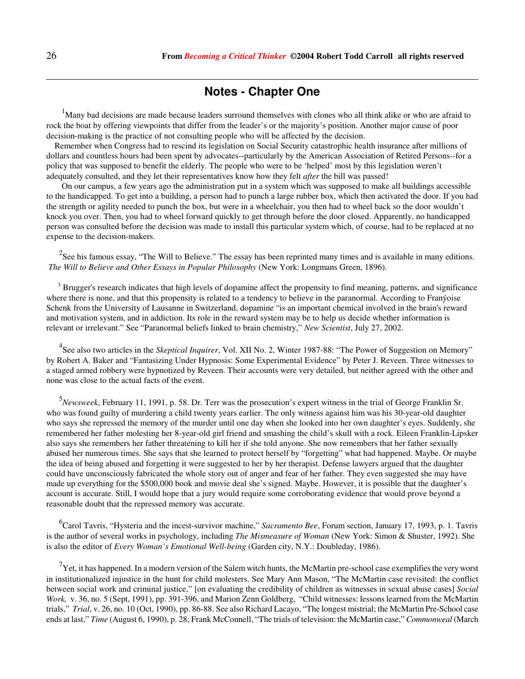# **Notes - Chapter One**

<sup>1</sup>Many bad decisions are made because leaders surround themselves with clones who all think alike or who are afraid to rock the boat by offering viewpoints that differ from the leader's or the majority's position. Another major cause of poor decision-making is the practice of not consulting people who will be affected by the decision.

Remember when Congress had to rescind its legislation on Social Security catastrophic health insurance after millions of dollars and countless hours had been spent by advocates--particularly by the American Association of Retired Persons--for a policy that was supposed to benefit the elderly. The people who were to be 'helped' most by this legislation weren't adequately consulted, and they let their representatives know how they felt *after* the bill was passed!

On our campus, a few years ago the administration put in a system which was supposed to make all buildings accessible to the handicapped. To get into a building, a person had to punch a large rubber box, which then activated the door. If you had the strength or agility needed to punch the box, but were in a wheelchair, you then had to wheel back so the door wouldn't knock you over. Then, you had to wheel forward quickly to get through before the door closed. Apparently, no handicapped person was consulted before the decision was made to install this particular system which, of course, had to be replaced at no expense to the decision-makers.

 $2$ See his famous essay, "The Will to Believe." The essay has been reprinted many times and is available in many editions. *The Will to Believe and Other Essays in Popular Philosophy* (New York: Longmans Green, 1896).

 $3$  Brugger's research indicates that high levels of dopamine affect the propensity to find meaning, patterns, and significance where there is none, and that this propensity is related to a tendency to believe in the paranormal. According to Franýoise Schenk from the University of Lausanne in Switzerland, dopamine "is an important chemical involved in the brain's reward and motivation system, and in addiction. Its role in the reward system may be to help us decide whether information is relevant or irrelevant." See "Paranormal beliefs linked to brain chemistry," *New Scientist*, July 27, 2002.

4 See also two articles in the *Skeptical Inquirer*, Vol. XII No. 2, Winter 1987-88: "The Power of Suggestion on Memory" by Robert A. Baker and "Fantasizing Under Hypnosis: Some Experimental Evidence" by Peter J. Reveen. Three witnesses to a staged armed robbery were hypnotized by Reveen. Their accounts were very detailed, but neither agreed with the other and none was close to the actual facts of the event.

5 *Newsweek*, February 11, 1991, p. 58. Dr. Terr was the prosecution's expert witness in the trial of George Franklin Sr. who was found guilty of murdering a child twenty years earlier. The only witness against him was his 30-year-old daughter who says she repressed the memory of the murder until one day when she looked into her own daughter's eyes. Suddenly, she remembered her father molesting her 8-year-old girl friend and smashing the child's skull with a rock. Eileen Franklin-Lipsker also says she remembers her father threatening to kill her if she told anyone. She now remembers that her father sexually abused her numerous times. She says that she learned to protect herself by "forgetting" what had happened. Maybe. Or maybe the idea of being abused and forgetting it were suggested to her by her therapist. Defense lawyers argued that the daughter could have unconsciously fabricated the whole story out of anger and fear of her father. They even suggested she may have made up everything for the \$500,000 book and movie deal she's signed. Maybe. However, it is possible that the daughter's account is accurate. Still, I would hope that a jury would require some corroborating evidence that would prove beyond a reasonable doubt that the repressed memory was accurate.

6 Carol Tavris, "Hysteria and the incest-survivor machine," *Sacramento Bee*, Forum section, January 17, 1993, p. 1. Tavris is the author of several works in psychology, including *The Mismeasure of Woman* (New York: Simon & Shuster, 1992). She is also the editor of *Every Woman's Emotional Well-being* (Garden city, N.Y.: Doubleday, 1986).

 $7$  Yet, it has happened. In a modern version of the Salem witch hunts, the McMartin pre-school case exemplifies the very worst in institutionalized injustice in the hunt for child molesters. See Mary Ann Mason, "The McMartin case revisited: the conflict between social work and criminal justice," [on evaluating the credibility of children as witnesses in sexual abuse cases] *Social Work,* v. 36, no. 5 (Sept, 1991), pp. 391-396, and Marion Zenn Goldberg, "Child witnesses: lessons learned from the McMartin trials," *Trial*, v. 26, no. 10 (Oct, 1990), pp. 86-88. See also Richard Lacayo, "The longest mistrial; the McMartin Pre-School case ends at last," *Time* (August 6, 1990), p. 28; Frank McConnell, "The trials of television: the McMartin case," *Commonweal* (March

 $\overline{\phantom{0}}$